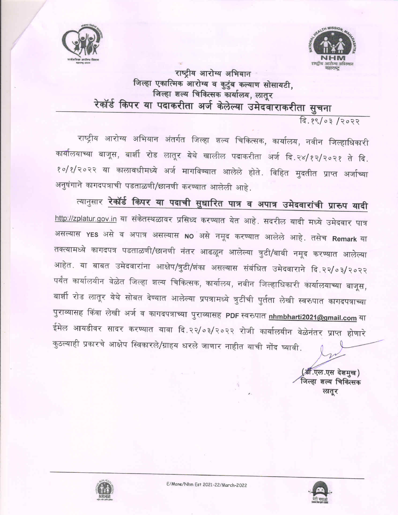



## राष्ट्रीय आरोग्य अभियान जिल्हा एकात्मिक आरोग्य व कुटुंब कल्याण सोसायटी, जिल्हा शल्य चिकित्सक कार्यालय, लातूर रेकॉर्ड किपर या पदाकरीता अर्ज केलेल्या उमेदवाराकरीता सुचना

दि.१९/०३/२०२२

राष्ट्रीय आरोग्य अभियान अंतर्गत जिल्हा शल्य चिकित्सक, कार्यालय, नवीन जिल्हाधिकारी कार्यालयाच्या बाजूस, बार्शी रोड लातूर येथे खालील पदाकरीता अर्ज दि.२४/१२/२०२१ ते दि. १०/१/२०२२ या कालावधीमध्ये अर्ज मागविण्यात आलेले होते. विहित मुदतीत प्राप्त अर्जाच्या अनुषंगाने कागदपत्राची पडताळणी/छानणी करण्यात आलेली आहे.

त्यानुसार रेकॉर्ड किपर या पदाची सुधारित पात्र व अपात्र उमेदवारांची प्रारुप यादी http://zplatur.gov.in या संकेतस्थळावर प्रसिध्द करण्यात येत आहे. सदरील यादी मध्ये उमेदवार पात्र असल्यास YES असे व अपात्र असल्यास NO असे नमूद करण्यात आलेले आहे. तसेच Remark या तक्त्यामध्ये कागदपत्र पडताळणी/छानणी नंतर आढळून आलेल्या त्रुटी/बाबी नमूद करण्यात आलेल्या आहेत. या बाबत उमेदवारांना आक्षेप/त्रुटी/शंका असल्यास संबंधित उमेदवाराने दि.२२/०३/२०२२ पर्यंत कार्यालयीन वेळेत जिल्हा शल्य चिकित्सक, कार्यालय, नवीन जिल्हाधिकारी कार्यालयाच्या बाजूस, बार्शी रोड लातूर येथे सोबत देण्यात आलेल्या प्रपत्रामध्ये त्रुटींची पुर्तता लेखी स्वरुपात कागदपत्राच्या पुराव्यासह किंवा लेखी अर्ज व कागदपत्राच्या पुराव्यासह PDF स्वरुपात <u>nhmbharti2021@gmail.com</u> या ईमेल आयडीवर सादर करण्यात यावा दि.२२/०३/२०२२ रोजी कार्यालयीन वेळेनंतर प्राप्त होणारे कुठल्याही प्रकारचे आक्षेप स्विकारले/ग्राहय धरले जाणार नाहीत याची नोंद घ्यावी.

> (डॉ.एल.एस देशमुख) जिल्हा शल्य चिकित्सक लातूर



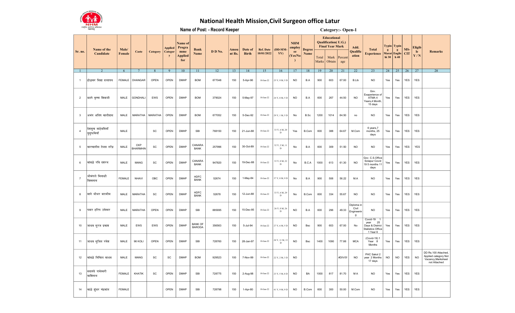

## National Health Mission, Civil Surgeon office Latur

Name of Post: - Record Keeper

Category:- Open-1

|                | Name of the                    | Male/           |                               |                              | <b>Applied</b> | Name of<br>Progra            | <b>Bank</b>                     |                 | Amou   | Date of      | <b>Ref. Date</b>  | $(DD-MM-$                     | <b>NHM</b><br>employ | <b>Degree</b> |                | <b>Educational</b><br><b>Qualification</b> (U.G.)<br><b>Final Year Mark</b> |                | Add.                                   | <b>Total</b>                                                                          |                       | Typin   Typin            | MS-        | <b>Eligib</b> |                                                                                   |
|----------------|--------------------------------|-----------------|-------------------------------|------------------------------|----------------|------------------------------|---------------------------------|-----------------|--------|--------------|-------------------|-------------------------------|----------------------|---------------|----------------|-----------------------------------------------------------------------------|----------------|----------------------------------------|---------------------------------------------------------------------------------------|-----------------------|--------------------------|------------|---------------|-----------------------------------------------------------------------------------|
| Sr. no.        | Candidate                      | Female          | Caste                         | Category                     | Categor<br>y   | mme<br><b>Applied</b><br>for | Name                            | D D No.         | nt Rs. | <b>Birth</b> | 10/01/2022        | YY)                           | ee<br>(Yes/No        | Name          | Total<br>Marks | Mark<br>Obtain                                                              | Percent<br>age | Qualific<br>ation                      | <b>Experience</b>                                                                     | $\mathbf{g}$<br>hi 30 | g<br>Marat Englis<br>h40 | <b>CIT</b> | le<br>Y/N     | <b>Remarks</b>                                                                    |
| $\overline{1}$ |                                | $6\overline{6}$ | $7\overline{ }$               | $\overline{8}$               | $\overline{9}$ | 10                           | 11                              | $\overline{12}$ | 13     | 14           | 15                | 16                            | 17                   | 18            | 19             | $\overline{20}$                                                             | 21             | $\overline{22}$                        | $\overline{23}$                                                                       | 24                    | 25                       | 26         | 27            | $\overline{28}$                                                                   |
| $\overline{1}$ | होळकर विद्या दत्तात्रय         | <b>FEMALE</b>   | DHANGAR                       | OPEN                         | OPEN           | <b>DMHP</b>                  | <b>BOM</b>                      | 677048          | 150    | 5-Apr-96     | $10$ -Jan-22      | 25 Y, 9 M, 5 D                | <b>NO</b>            | B.A           | 900            | 603                                                                         | 67.00          | B.Lib                                  | <b>NO</b>                                                                             | Yes                   | Yes                      | <b>YES</b> | <b>YES</b>    |                                                                                   |
| $\overline{2}$ | बडगे कृष्णा शिवाजी             | MALE            | <b>GONDHALI</b>               | EWS                          | OPEN           | <b>DMHP</b>                  | <b>BOM</b>                      | 379024          | 150    | 5-May-97     | $10$ -Jan-22      | 24 Y, 8 M, 5 D                | <b>NO</b>            | B.A           | 600            | 267                                                                         | 44.50          | <b>NO</b>                              | Gov.<br>Exaperience of<br>ATMA 4<br>Years, 4 Month,<br>15 days                        | Yes                   | Yes                      | <b>YES</b> | <b>YES</b>    |                                                                                   |
| $\overline{3}$ | अभंग अतिष कालीदास              | MALE            | <b>MARATHA</b>                | <b>MARATHA</b>               | OPEN           | <b>DMHP</b>                  | <b>BOM</b>                      | 677052          | 150    | 5-Dec-92     | $10$ -Jan-22      | 29 Y, 1 M, 5 D                | No                   | B.Sc          | 1200           | 1014                                                                        | 84.50          | no                                     | <b>NO</b>                                                                             | Yes                   | Yes                      | <b>YES</b> | <b>YES</b>    |                                                                                   |
| $\overline{4}$ | देशमुख साहेबमियॉ<br>युसुफमियाँ | MALE            |                               | SC                           | OPEN           | <b>DMHP</b>                  | SBI                             | 768150          | 150    | 21-Jun-88    | $10$ -Jan-22      | 33 Y, 6 M, 20<br>$\mathbf D$  | Yes                  | B.Com         | 600            | 388                                                                         | 64.67          | M.Com                                  | 6 years,7<br>months, 25<br>days                                                       | Yes                   | Yes                      | <b>YES</b> | <b>YES</b>    |                                                                                   |
| 5              | कारखानीस तेजस नरेंद्र          | MALE            | <b>CKP</b><br><b>BHARMHIN</b> | SC                           | OPEN           | <b>DMHP</b>                  | CANARA<br><b>BANK</b>           | 257996          | 150    | 30-Oct-89    | $10$ -Jan-22 $\,$ | 32 Y, 2 M, 11<br>$\mathbf D$  | No                   | B.A           | 600            | 309                                                                         | 51.50          | <b>NO</b>                              | <b>NO</b>                                                                             | Yes                   | Yes                      | <b>YES</b> | <b>YES</b>    |                                                                                   |
| 6              | कांबळे रवि दशरथ                | MALE            | <b>MANG</b>                   | SC                           | OPEN           | <b>DMHP</b>                  | CANARA<br><b>BANK</b>           | 947820          | 150    | 19-Dec-88    | $10$ -Jan-22 $\,$ | 33 Y, 0 M, 22<br>D            | No                   | B.C.A         | 1000           | 613                                                                         | 61.30          | <b>NO</b>                              | Gov. C.S.Office<br>Solapur Covid<br>19 5 months 11<br>days                            | Yes                   | Yes                      | <b>YES</b> | <b>YES</b>    |                                                                                   |
| $\overline{7}$ | श्रीमंगले मिनाक्षी<br>विश्वनाथ | <b>FEMALE</b>   | <b>NHAVI</b>                  | OBC                          | OPEN           | <b>DMHP</b>                  | <b>HDFC</b><br><b>BANK</b>      | 52674           | 150    | 1-May-84     | $10$ -Jan-22      | 37 Y, 8 M, 9 D                | No                   | B.A           | 900            | 506                                                                         | 56.22          | M.A                                    | <b>NO</b>                                                                             | Yes                   | Yes                      | YES        | <b>YES</b>    |                                                                                   |
| 8              | माने श्रीधर बलभीम              | MALE            | MARATHA                       | SC                           | OPEN           | <b>DMHP</b>                  | <b>HDFC</b><br><b>BANK</b>      | 52678           | 150    | 12-Jun-88    | $10$ -Jan-22      | 33 Y, 6 M, 29<br>$\mathbf{D}$ | No                   | B.Com         | 600            | 334                                                                         | 55.67          | <b>NO</b>                              | <b>NO</b>                                                                             | Yes                   | Yes                      | <b>YES</b> | <b>YES</b>    |                                                                                   |
| 9              | पवार हरिष उत्रेश्वर            | MALE            | <b>MARATHA</b>                | OPEN                         | OPEN           | <b>DMHP</b>                  | SBI                             | 885695          | 150    | 15-Dec-95    | $10-Jan-22$       | 26 Y, 0 M, 26<br>$\mathbf D$  | <b>NO</b>            | B.A           | 600            | 296                                                                         | 49.33          | Diploma in<br>Civil<br>Engineerin<br>g | <b>NO</b>                                                                             | Yes                   | Yes                      | YES        | YES           |                                                                                   |
| 10             | जाधव सूरज प्रकाश               | MALE            | EWS                           | EWS                          | OPEN           | <b>DMHP</b>                  | <b>BANK OF</b><br><b>BARODA</b> | 356563          | 150    | 5-Jul-94     | $10$ -Jan-22      | 27 Y, 6 M, 5 D                | <b>NO</b>            | Bsc           | 900            | 603                                                                         | 67.00          | No                                     | $Covid-19$ 1<br>year<br>25<br>Days & District<br><b>Statistics Office</b><br>1 Year 6 | Yes                   | Yes                      | <b>YES</b> | <b>YES</b>    |                                                                                   |
| 11             | जाधव सूजित रमेश                | MALE            | 96 KOLI                       | OPEN                         | OPEN           | <b>DMHP</b>                  | SBI                             | 728760          | 150    | 28-Jan-97    | $10$ -Jan-22      | 24 Y, 11 M, 13<br>$\mathbb D$ | <b>NO</b>            | <b>Bsc</b>    | 1400           | 1090                                                                        | 77.86          | <b>MCA</b>                             | (Covid-19) 1<br>Year <sub>8</sub><br>Months                                           | Yes                   | Yes                      | <b>YES</b> | <b>YES</b>    |                                                                                   |
| 12             | कांबळे निखिल माधव              | MALE            | <b>MANG</b>                   | $\operatorname{\textsf{SC}}$ | SC             | <b>DMHP</b>                  | <b>BOM</b>                      | 929523          | 100    | 7-Nov-99     | $10$ -Jan-22      | 22 Y, 2 M, 3 D                | <b>NO</b>            |               |                |                                                                             | #DIV/0!        | <b>NO</b>                              | PHC Sakol 2<br>year 2 Months<br>17 days                                               | <b>NO</b>             | <b>NO</b>                | YES        | <b>NO</b>     | DD Rs.100 Attached,<br>Applied category Not<br>Vacancy, Marksheet<br>not Attached |
| 13             | सदानंदे रामेश्वरी<br>काशिनाथ   | <b>FEMALE</b>   | KHATIK                        | SC                           | OPEN           | <b>DMHP</b>                  | SBI                             | 728775          | 150    | 2-Aug-98     | $10$ -Jan-22 $\,$ | 23 Y, 5 M, 8 D                | <b>NO</b>            | BA            | 1000           | 817                                                                         | 81.70          | M A                                    | <b>NO</b>                                                                             | Yes                   | Yes                      | <b>YES</b> | <b>YES</b>    |                                                                                   |
| 14             | काळे झूंबर चंद्रकांत           | <b>FEMALE</b>   |                               |                              | OPEN           | <b>DMHP</b>                  | SBI                             | 728798          | 150    | 1-Apr-80     | $10$ -Jan-22      | 41 Y, 9 M, 9 D                | <b>NO</b>            | B.Com         | 600            | 300                                                                         | 50.00          | M.Com                                  | <b>NO</b>                                                                             | Yes                   | Yes                      | YES        | <b>YES</b>    |                                                                                   |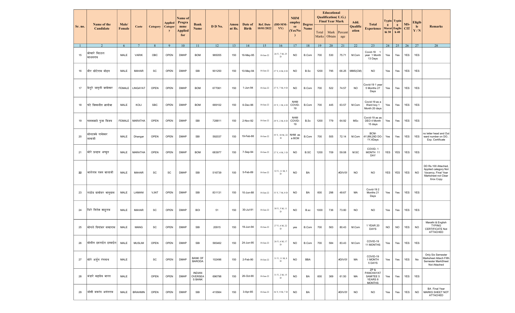|         | Name of the                 | Male/         |                 |             | Applied             | Name of<br>Progra            | <b>Bank</b>                               |         | Amou   | Date of      | <b>Ref. Date</b> | $(DD-MM-$                    | <b>NHM</b><br>employ       | <b>Degree</b> |                | <b>Educational</b><br>Qualification(U.G.)<br><b>Final Year Mark</b> |                | Add.              | <b>Total</b>                                                 | g          | Typin   Typin  <br>g | MS-        | <b>Eligib</b> |                                                                                                        |
|---------|-----------------------------|---------------|-----------------|-------------|---------------------|------------------------------|-------------------------------------------|---------|--------|--------------|------------------|------------------------------|----------------------------|---------------|----------------|---------------------------------------------------------------------|----------------|-------------------|--------------------------------------------------------------|------------|----------------------|------------|---------------|--------------------------------------------------------------------------------------------------------|
| Sr. no. | Candidate                   | Female        | Caste           | Category    | <b>Categor</b><br>y | mme<br><b>Applied</b><br>for | Name                                      | D D No. | nt Rs. | <b>Birth</b> | 10/01/2022       | YY)                          | ee<br>(Yes/No)             | Name          | Total<br>Marks | Mark<br>Obtain                                                      | Percent<br>age | Qualific<br>ation | <b>Experience</b>                                            | hi 30      | Marat Englis<br>h 40 | <b>CIT</b> | le<br>Y/N     | <b>Remarks</b>                                                                                         |
|         | 2                           | 6             | $7\overline{ }$ | 8           | -9                  | 10                           | 11                                        | 12      | 13     | 14           | 15               | 16                           | 17                         | 18            | 19             | 20                                                                  | 21             | 22                | 23                                                           | 24         | 25                   | 26         | 27            | 28                                                                                                     |
| 15      | बोखारे विठठल<br>माधवराव     | MALE          | <b>VARIK</b>    | OBC         | OPEN                | <b>DMHP</b>                  | <b>BOM</b>                                | 965055  | 150    | 16-May-95    | $10$ -Jan-22     | 26 Y, 7 M, 25<br>$\mathbf D$ | <b>NO</b>                  | B.Com         | 700            | 530                                                                 | 75.71          | M.Com             | Covid-19<br>year 1 Month<br>13 Days                          | Yes        | Yes                  | <b>YES</b> | <b>YES</b>    |                                                                                                        |
| 16      | वीर छोटेराम मोहन            | MALE          | <b>MAHAR</b>    | SC          | OPEN                | <b>DMHP</b>                  | SBI                                       | 901250  | 150    | 10-May-94    | $10$ -Jan-22     | 27 Y, 8 M, 0 D               | NO.                        | B.Sc          | 1200           | 795                                                                 | 66.25          | MMS(CM)           | <b>NO</b>                                                    | Yes        | Yes                  | <b>YES</b> | <b>YES</b>    |                                                                                                        |
| 17      | बेलूरे जागृती बस्वेश्वर     | <b>FEMALE</b> | LINGAYAT        | OPEN        | OPEN                | <b>DMHP</b>                  | <b>BOM</b>                                | 677061  | 150    | 1-Jun-94     | $10$ -Jan-22     | 27 Y, 7 M, 9 D               | <b>NO</b>                  | B.Com         | 700            | 522                                                                 | 74.57          | <b>NO</b>         | Covid-19 1 year<br>5 Months 27<br>Days                       | Yes        | Yes                  | <b>YES</b> | <b>YES</b>    |                                                                                                        |
| 18      | घंटे विश्वजीत ज्ञानोबा      | MALE          | KOLI            | <b>SBC</b>  | OPEN                | <b>DMHP</b>                  | <b>BOM</b>                                | 669102  | 150    | 6-Dec-96     | $10$ -Jan-22     | 25 Y, 1 M, 4 D               | <b>NHM</b><br>COVID-<br>19 | B.Com         | 700            | 445                                                                 | 63.57          | M.Com             | Covid-19 as a<br>Ward boy 1<br>Month 20 days                 | Yes        | Yes                  | <b>YES</b> | <b>YES</b>    |                                                                                                        |
| 19      | गायकवाडे पूजा विजय          | <b>FEMALE</b> | <b>MARATHA</b>  | OPEN        | OPEN                | <b>DMHP</b>                  | SBI                                       | 728811  | 150    | 2-Nov-92     | $10$ -Jan-22     | 29 Y, 2 M, 8 D               | <b>NHM</b><br>COVID-<br>19 | B,Sc          | 1200           | 779                                                                 | 64.92          | MSc               | Covid-19 as as<br>DEO 4 Month<br>15 days                     | Yes        | Yes                  | <b>YES</b> | <b>YES</b>    |                                                                                                        |
| 20      | सोनटक्के रामेश्वर<br>तानाजी | MALE          | Dhangar         | OPEN        | OPEN                | <b>DMHP</b>                  | SBI                                       | 592037  | 150    | 19-Feb-86    | $10-Jan-22$      | 35 Y, 10 M, 22<br>D          | NHM as<br>a BCM            | B.Com         | 700            | 505                                                                 | 72.14          | M.Com             | BCM-<br>4Y,8M,29D DO-<br>1Y,4Days                            | Yes        | Yes                  | <b>YES</b> | YES           | no letter head and Out<br>ward number on DO<br>Exp. Certificate                                        |
| 21      | मोरे प्रल्हाद अच्युत        | MALE          | <b>MARATHA</b>  | OPEN        | OPEN                | <b>DMHP</b>                  | <b>BOM</b>                                | 683977  | 150    | 7-Sep-94     | $10$ -Jan-22     | 27 Y, 4 M, 3 D               | NO.                        | B.SC          | 1200           | 709                                                                 | 59.08          | M.SC              | COVID-1<br>MONTH 11<br>DAY                                   | <b>YES</b> | <b>YES</b>           | <b>YES</b> | <b>YES</b>    |                                                                                                        |
| 22      | भालेराव पवन बालाजी          | MALE          | <b>MAHAR</b>    | SC          | SC                  | <b>DMHP</b>                  | SBI                                       | 516739  | 100    | 5-Feb-89     | $10-Jan-22$      | 32 Y, 11 M, 5<br>D           | <b>NO</b>                  | BA            |                |                                                                     | #DIV/0!        | <b>NO</b>         | <b>NO</b>                                                    | <b>YES</b> | YES                  | <b>YES</b> | <b>NO</b>     | DD Rs.100 Attached,<br>Applied category Not<br>Vacancy, Final Year<br>Marksheet not Clear<br>Xrox Copy |
| 23      | राठोड दामोदर भानूदास        | MALE          | LAMANI          | <b>VJNT</b> | OPEN                | <b>DMHP</b>                  | SBI                                       | 831131  | 150    | 10-Jun-88    | $10$ -Jan-22     | 33 Y, 7 M, 0 D               | <b>NO</b>                  | BA            | 600            | 298                                                                 | 49.67          | MA                | Covid-192<br>Months 21<br>Days                               | Yes        | Yes                  | <b>YES</b> | YES           |                                                                                                        |
| 24      | धिरे निलेश शाहराव           | MALE          | <b>MAHAR</b>    | SC          | <b>OPEN</b>         | <b>DMHP</b>                  | <b>BOI</b>                                | 51      | 150    | 30-Jul-91    | $10$ -Jan-22     | 30 Y, 5 M, 11<br>D           | <b>NO</b>                  | B.sc          | 1000           | 736                                                                 | 73.60          | <b>NO</b>         | <b>NO</b>                                                    | Yes        | Yes                  | <b>YES</b> | <b>YES</b>    |                                                                                                        |
| 25      | मोगले दिगांबर सखाराम        | MALE          | <b>MANG</b>     | SC          | OPEN                | <b>DMHP</b>                  | <b>SBI</b>                                | 20915   | 150    | 19-Jun-94    | $10$ -Jan-22     | 27 Y, 6 M, 22<br>D           | yes                        | B.Com         | 700            | 563                                                                 | 80.43          | M.Com             | 1 YEAR 20<br>DAYS                                            | <b>NO</b>  | <b>NO</b>            | <b>YES</b> | <b>NO</b>     | Marathi & English<br><b>TYPING</b><br>CERTIFICATE Not<br><b>ATTACHED</b>                               |
| 26      | मोमीन इसराईल इस्माईल        | MALE          | <b>MUSLIM</b>   | OPEN        | OPEN                | <b>DMHP</b>                  | SBI                                       | 565462  | 150    | 24-Jun-95    | $10$ -Jan-22     | 26 Y, 6 M, 17<br>D           | <b>NO</b>                  | B.Com         | 700            | 584                                                                 | 83.43          | M.Com             | COVID-19<br>11 MONTHS                                        | Yes        | Yes                  | YES        | YES           |                                                                                                        |
| 27      | मोरे अर्जुन रंगनाथ          | MALE          |                 | SC          | OPEN                | <b>DMHP</b>                  | <b>BANK OF</b><br><b>BARODA</b>           | 102496  | 150    | 2-Feb-90     | $10$ -Jan-22     | 31 Y, 11 M, 8<br>D           | <b>NO</b>                  | BBA           |                |                                                                     | #DIV/0!        | MA                | COVID-19<br>1 MONTH<br>5 DAYS                                | Yes        | Yes                  | YES        | No            | Only Six Semester<br>Marksheet Attach Fifth<br>Semester MarkSheet<br>Not Attached                      |
| 28      | भंडारे महादेव भारत          | MALE          |                 | OPEN        | OPEN                | <b>DMHP</b>                  | <b>INDIAN</b><br><b>OVERSEA</b><br>S BANK | 696798  | 150    | 26-Oct-90    | $10$ -Jan-22     | 31 Y, 2 M, 15<br>D           | <b>NO</b>                  | BA            | 600            | 369                                                                 | 61.50          | МA                | $ZP$ &<br>PANCHAYAT<br>SAMITEE 5<br>YEARS 8<br><b>MONTHS</b> | Yes        | Yes                  | <b>YES</b> | <b>YES</b>    |                                                                                                        |
| 29      | जोशी मकरंद अनंतराव          | MALE          | <b>BRAHMIN</b>  | OPEN        | OPEN                | <b>DMHP</b>                  | SBI                                       | 415564  | 150    | 3-Apr-85     | $10$ -Jan-22     | 36 Y, 9 M, 7 D               | NO.                        | BA            |                |                                                                     | #DIV/0!        | <b>NO</b>         | <b>NO</b>                                                    | Yes        | Yes                  | YES        | <b>NO</b>     | <b>BA Final Year</b><br>MARKS SHEET NOT<br><b>ATTACHED</b>                                             |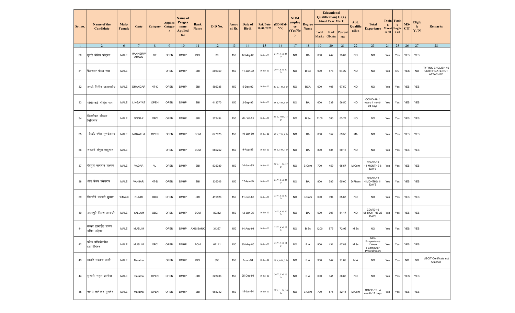|         | Name of the                       | Male/         |                         |           | Applied      | Name of<br>Progra     | <b>Bank</b>      |         | Amou   | Date of      | <b>Ref. Date</b> | $(DD-MM)$                     | <b>NHM</b><br>employ | <b>Degree</b> |                | <b>Educational</b><br>Qualification(U.G.)<br><b>Final Year Mark</b> |                | Add.              | <b>Total</b>                                               |     | Typin   Typin                     | MS-        | <b>Eligib</b> |                                                         |
|---------|-----------------------------------|---------------|-------------------------|-----------|--------------|-----------------------|------------------|---------|--------|--------------|------------------|-------------------------------|----------------------|---------------|----------------|---------------------------------------------------------------------|----------------|-------------------|------------------------------------------------------------|-----|-----------------------------------|------------|---------------|---------------------------------------------------------|
| Sr. no. | Candidate                         | Female        | Caste                   | Category  | Categor<br>y | mme<br>Applied<br>for | <b>Name</b>      | D D No. | nt Rs. | <b>Birth</b> | 10/01/2022       | YY)                           | ee<br> Yes/No        | Name          | Total<br>Marks | Mark<br>Obtain                                                      | Percent<br>age | Qualific<br>ation | <b>Experience</b>                                          | g   | g<br>Marat Englis<br>hi 30   h 40 | <b>CIT</b> | le<br>Y/N     | <b>Remarks</b>                                          |
| -1      | 2                                 | 6             | 7                       | 8         | 9            | 10                    | 11               | 12      | 13     | 14           | 15               | 16                            | 17                   | 18            | 19             | 20                                                                  | 21             | 22                | 23                                                         | 24  | 25                                | 26         | 27            | $\overline{28}$                                         |
| 30      | गूरले योगेश पांडूरंग              | MALE          | <b>MANNERW</b><br>ARALU | <b>ST</b> | OPEN         | <b>DMHP</b>           | <b>BOI</b>       | 39      | 150    | 17-May-00    | $10$ -Jan-22     | 21 Y, 7 M, 24<br>$\mathbf D$  | <b>NO</b>            | BA            | 600            | 442                                                                 | 73.67          | <b>NO</b>         | <b>NO</b>                                                  | Yes | Yes                               | YES        | YES           |                                                         |
| 31      | पिंढारकर पंकज राम                 | MALE          |                         |           | OPEN         | <b>DMHP</b>           | SBI              | 206359  | 150    | 11-Jun-92    | $10$ -Jan-22     | 29 Y, 6 M, 30<br>D            | <b>NO</b>            | B.Sc          | 900            | 578                                                                 | 64.22          | <b>NO</b>         | <b>NO</b>                                                  | Yes | <b>NO</b>                         | <b>YES</b> | <b>NO</b>     | TYPING ENGLISH 40<br>CERTIFICATE NOT<br><b>ATTACHED</b> |
| 32      | डफळे नितीन बाळासाहेब              | MALE          | <b>DHANGAR</b>          | NT-C      | OPEN         | <b>DMHP</b>           | SBI              | 592038  | 150    | 5-Dec-92     | $10$ -Jan-22     | 29 Y, 1 M, 5 D                | <b>NO</b>            | <b>BCA</b>    | 600            | 405                                                                 | 67.50          | <b>NO</b>         | <b>NO</b>                                                  | Yes | Yes                               | <b>YES</b> | <b>YES</b>    |                                                         |
| 33      | मोतीपवळे रोहित राम                | MALE          | LINGAYAT                | OPEN      | OPEN         | <b>DMHP</b>           | SBI              | 413370  | 150    | 2-Sep-96     | $10$ -Jan-22     | 25 Y, 4 M, 8 D                | <b>NO</b>            | BA            | 600            | 339                                                                 | 56.50          | <b>NO</b>         | COVID-19 1<br>years 4 month<br>24 days                     | Yes | Yes                               | <b>YES</b> | YES           |                                                         |
| 34      | सिंदगीकर श्रीकांत<br>निशिकांत     | MALE          | SONAR                   | OBC       | OPEN         | <b>DMHP</b>           | SBI              | 323434  | 150    | 26-Feb-85    | $10$ -Jan-22     | 36 Y, 10 M, 15<br>$\mathbf D$ | <b>NO</b>            | B.Sc          | 1100           | 586                                                                 | 53.27          | <b>NO</b>         | <b>NO</b>                                                  | Yes | Yes                               | <b>YES</b> | YES           |                                                         |
| 35      | शेळके गणेश गुणवंतराव              | MALE          | <b>MARATHA</b>          | OPEN      | OPEN         | <b>DMHP</b>           | <b>BOM</b>       | 677075  | 150    | 10-Jun-89    | $10$ -Jan-22     | 32 Y, 7 M, 0 D                | <b>NO</b>            | BA            | 600            | 357                                                                 | 59.50          | MA                | <b>NO</b>                                                  | Yes | Yes                               | <b>YES</b> | <b>YES</b>    |                                                         |
| 36      | जवळगे अंकूश शाहराज                | MALE          |                         |           | OPEN         | <b>DMHP</b>           | <b>BOM</b>       | 589252  | 150    | 9-Aug-88     | $10$ -Jan-22     | 33 Y, 5 M, 1 D                | <b>NO</b>            | BA            | 800            | 481                                                                 | 60.13          | <b>NO</b>         | <b>NO</b>                                                  | Yes | Yes                               | <b>YES</b> | <b>YES</b>    |                                                         |
| 37      | दिंडगूले नागनाथ लक्ष्मण           | MALE          | VADAR                   | VJ        | OPEN         | <b>DMHP</b>           | SBI              | 536389  | 150    | 14-Jan-93    | $10$ -Jan-22     | 28 Y, 11 M, 27<br>D           | <b>NO</b>            | B.Com         | 700            | 459                                                                 | 65.57          | M.Com             | COVID-19<br>11 MONTHS 6<br>DAYS                            | Yes | Yes                               | <b>YES</b> | <b>YES</b>    |                                                         |
| 38      | धोंड वैभव रमेशराव                 | MALE          | VANJARI                 | NT-D      | OPEN         | <b>DMHP</b>           | SBI              | 336346  | 150    | 17-Apr-95    | $10$ -Jan-22     | 26 Y, 8 M, 24<br>D            | <b>NO</b>            | BA            | 900            | 585                                                                 | 65.00          | D.Pham            | COVID-19<br>4 MONTHS 11<br>DAYS                            | Yes | Yes                               | <b>YES</b> | YES           |                                                         |
| 39      | शिरसोदे पल्लवी सूभाष              | <b>FEMALE</b> | <b>KUNBI</b>            | OBC       | OPEN         | <b>DMHP</b>           | SBI              | 419828  | 150    | 11-Sep-86    | $10$ -Jan-22     | 35 Y, 3 M, 30<br>D            | <b>NO</b>            | B.Com         | 600            | 394                                                                 | 65.67          | <b>NO</b>         | <b>NO</b>                                                  | Yes | Yes                               | <b>YES</b> | <b>YES</b>    |                                                         |
| 40      | आलापुरे किरण बालाजी               | MALE          | YALLAM                  | OBC       | OPEN         | <b>DMHP</b>           | <b>BOM</b>       | 82312   | 150    | 12-Jun-95    | $10$ -Jan-22     | 26 Y, 6 M, 29<br>D            | <b>NO</b>            | BA            | 600            | 307                                                                 | 51.17          | <b>NO</b>         | COVID-19<br>05 MONTHS 23<br>DAYS                           | Yes | Yes                               | <b>YES</b> | <b>YES</b>    |                                                         |
| 41      | सय्यद इस्माईल सय्यद<br>बसिर अहेमद | MALE          | <b>MUSLIM</b>           |           | OPEN         | <b>DMHP</b>           | <b>AXIS BANK</b> | 31327   | 150    | 14-Aug-94    | $10$ -Jan-22     | 27 Y, 4 M, 27<br>D            | <b>NO</b>            | B.Sc          | 1200           | 875                                                                 | 72.92          | M.Sc              | <b>NO</b>                                                  | Yes | Yes                               | <b>YES</b> | <b>YES</b>    |                                                         |
| 42      | पटेल शफियोददीन<br>इसामोदिदन       | MALE          | <b>MUSLIM</b>           | OBC       | OPEN         | <b>DMHP</b>           | <b>BOM</b>       | 62141   | 150    | 30-May-85    | $10$ -Jan-22     | 36 Y, 7 M, 11<br>$\mathbf D$  | <b>NO</b>            | B.A           | 900            | 431                                                                 | 47.89          | M.Sc              | Gov.<br>Exaperience<br>1 Years<br>(Computer<br>Programmer) | Yes | Yes                               | YES        | YES           |                                                         |
| 43      | साबळे नवनाथ बन्सी                 | MALE          | Maratha                 |           | OPEN         | <b>DMHP</b>           | <b>BOI</b>       | 336     | 150    | 7-Jan-94     | $10$ -Jan-22     | 28 Y, 0 M, 3 D                | <b>NO</b>            | B.A           | 900            | 647                                                                 | 71.89          | M.A               | <b>NO</b>                                                  | Yes | Yes                               | NO.        | <b>NO</b>     | MSCIT Certificate not<br>Attached                       |
| 44      | सूरवसे राहुल ज्ञानोबा             | MALE          | maratha                 | OPEN      | OPEN         | <b>DMHP</b>           | SBI              | 323438  | 150    | 25-Dec-91    | $10$ -Jan-22     | 30 Y, 0 M, 16<br>D            | <b>NO</b>            | B.A           | 600            | 341                                                                 | 56.83          | <b>NO</b>         | <b>NO</b>                                                  | Yes | Yes                               | YES        | YES           |                                                         |
| 45      | कापसे ज्ञानेश्वर सुखदेव           | MALE          | maratha                 | OPEN      | OPEN         | <b>DMHP</b>           | SBI              | 665742  | 150    | 15-Jan-94    | $10$ Jan-22 $\,$ | 27 Y, 11 M, 26<br>D           | <b>NO</b>            | B.Com         | 700            | 575                                                                 | 82.14          | M.Com             | COVID-19 4<br>month 11 days                                | Yes | Yes                               | YES        | YES           |                                                         |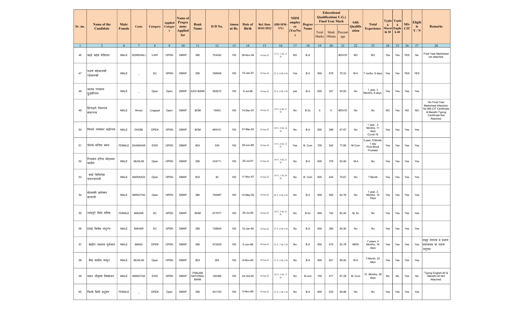|         | Name of the                  | Male/         |                          |             | Applied                 | Name of<br>Progra     | <b>Bank</b>                |         | Amou   | Date of      | <b>Ref. Date</b> | $(DD-MM)$               | <b>NHM</b><br>employ | <b>Degree</b> |                | <b>Educational</b><br><b>Qualification</b> (U.G.)<br><b>Final Year Mark</b> |                | Add.              | <b>Total</b>                                       | g         | Typin   Typin<br>g    | MS-        | <b>Eligib</b>       |                                                                                                                   |
|---------|------------------------------|---------------|--------------------------|-------------|-------------------------|-----------------------|----------------------------|---------|--------|--------------|------------------|-------------------------|----------------------|---------------|----------------|-----------------------------------------------------------------------------|----------------|-------------------|----------------------------------------------------|-----------|-----------------------|------------|---------------------|-------------------------------------------------------------------------------------------------------------------|
| Sr. no. | Candidate                    | Female        | Caste                    | Category    | Categor<br>$\mathbf{y}$ | mme<br>Applied<br>for | Name                       | D D No. | nt Rs. | <b>Birth</b> | 10/01/2022       | YY)                     | ee<br>(Yes/No)       | Name          | Total<br>Marks | Mark<br>Obtain                                                              | Percent<br>age | Qualific<br>ation | <b>Experience</b>                                  | hi 30     | Marat   Englis<br>h40 | <b>CIT</b> | $\mathbf{e}$<br>Y/N | <b>Remarks</b>                                                                                                    |
|         |                              | 6             | 7                        | 8           | 9                       | 10 <sup>°</sup>       | 11                         | 12      | 13     | 14           | 15               | 16                      | 17                   | 18            | 19             | 20                                                                          | 21             | 22                | 23                                                 | 24        | 25                    | 26         | 27                  | 28                                                                                                                |
| 46      | काळे महेश संदिपान            | MALE          | <b>GONDHALI</b>          | <b>VJNT</b> | OPEN                    | <b>DMHP</b>           | SBI                        | 754342  | 150    | 28-Nov-94    | $10$ -Jan-22     | 27 Y, 1 M, 13<br>$\,$ D | <b>NO</b>            | B.A           |                |                                                                             | #DIV/0!        | <b>NO</b>         | <b>NO</b>                                          | Yes       | Yes                   | YES        | No                  | Final Year Marksheet<br>not attached.                                                                             |
| 47      | पठाण शहेबाजखॉ<br>रहेमानखॉ    | MALE          | $\overline{\phantom{a}}$ | SC          | OPEN                    | <b>DMHP</b>           | SBI                        | 356928  | 150    | 10-Jan-97    | $10$ -Jan-22     | 25 Y, 0 M, 0 D          | Yes                  | B.A           | 900            | 678                                                                         | 75.33          | M.A               | 7 moths, 9 days                                    | Yes       | Yes                   | <b>YES</b> | <b>YES</b>          |                                                                                                                   |
| 48      | जाधव रामदास<br> तुळशीराम     | MALE          | $\overline{\phantom{a}}$ | Open        | Open                    | <b>DMHP</b>           | <b>AXIS BANK</b>           | 562615  | 150    | 6-Jul-96     | $10$ -Jan-22     | 25 Y, 6 M, 4 D          | yes                  | B.A           | 600            | 327                                                                         | 54.50          | No                | 1 year, 3<br>Months, 8 days.                       | Yes       | Yes                   | Yes        | Yes                 |                                                                                                                   |
| 49      | हिप्पळगे भिमराव<br>झंकरराव   | MALE          | Hindui                   | Lingayat    | Open                    | <b>DMHP</b>           | <b>BOM</b>                 | 15463   | 150    | 14-Dec-97    | $10$ -Jan-22     | 24 Y, 0 M, 27<br>$\,$ D | No                   | B.Sc          | $\mathbf 0$    | 0                                                                           | #DIV/0!        | No                | No                                                 | <b>NO</b> | Yes                   | <b>NO</b>  | <b>NO</b>           | No Final Year<br>Marksheet Attached.<br>No MS-CIT Certificate<br>& Marathi Typing<br>Certificate Not<br>Attached. |
| 50      | त्रिमले रामेश्वर बळीराम      | MALE          | <b>DHOBI</b>             | OPEN        | OPEN                    | <b>DMHP</b>           | <b>BOM</b>                 | 669151  | 150    | 27-Mar-93    | $10$ -Jan-22     | 28 Y, 9 M, 14<br>D      | No                   | B.A           | 600            | 286                                                                         | 47.67          | No                | 1 year, $2$<br>Months, 11<br>days<br>Covid-19      | Yes       | Yes                   | Yes        | Yes                 |                                                                                                                   |
| 51      | घोडके मनिषा वसंत             | FEMALE        | DHANGAR                  | EWS         | OPEN                    | <b>DMHP</b>           | BOI                        | 339     | 150    | 29-Jun-88    | $10-Jan-22$      | 33 Y, 6 M, 12<br>D      | Yes                  | B. Com        | 700            | 545                                                                         | 77.86          | M Com             | year, 8 Month,<br>1 day<br>Post Block<br>Ficelater | Yes       | Yes                   | Yes        | Yes                 |                                                                                                                   |
| 52      | रिजवान हरिस मोहम्मद<br>यासीन | MALE          | <b>MUSLIM</b>            | Open        | OPEN                    | <b>DMHP</b>           | SBI                        | 234711  | 150    | 20-Jul-91    | $10$ -Jan-22     | 30 Y, 5 M, 21<br>$\,$ D | No                   | B.A           | 600            | 378                                                                         | 63.00          | M.A               | No                                                 | Yes       | Yes                   | Yes        | Yes                 |                                                                                                                   |
| 53      | शर्मामिथिलेश<br>भवरलालजी     | MALE          | <b>MARWADI</b>           | Open        | OPEN                    | <b>DMHP</b>           | <b>BOI</b>                 | 40      | 150    | 11-Nov-87    | 10-Jan-22        | 34 Y, 1 M, 30<br>$\,$ D | No                   | B. Com        | 600            | 424                                                                         | 70.67          | No                | 7 Month                                            | Yes       | Yes                   | Yes        | Yes                 |                                                                                                                   |
| 54      | सोमवंशी ज्ञानेश्वर<br>बालाजी | MALE          | <b>MARATHA</b>           | Open        | OPEN                    | <b>DMHP</b>           | SBI                        | 793997  | 150    | 10-May-93    | $10$ -Jan-22     | 28 Y, 8 M, 0 D          | No                   | B.A           | 900            | 565                                                                         | 62.78          | No                | 1 year, 2<br>Months, 15<br>Days                    | Yes       | Yes                   | Yes        | Yes                 |                                                                                                                   |
| 55      | लामतूरे प्रिया सतिश          | <b>FEMALE</b> | MAHAR                    | SC          | <b>OPEN</b>             | <b>DMHP</b>           | <b>BOM</b>                 | 677077  | 150    | 20-Jul-95    | $10$ -Jan-22     | 26 Y, 5 M, 21<br>D      | No                   | B.Sc          | 900            | 742                                                                         | 82.44          | M. Sc             | No                                                 | Yes       | Yes                   | Yes        | Yes                 |                                                                                                                   |
| 56      | इंगळे विनोद पांडरंग          | MALE          | <b>MAHAR</b>             | SC          | OPEN                    | <b>DMHP</b>           | SBI                        | 728845  | 150    | 10-Jan-95    | $10$ -Jan-22     | 27 Y, 0 M, 0 D          | No                   | B.A           | 600            | 384                                                                         | 64.00          | No                | No                                                 | Yes       | Yes                   | Yes        | Yes                 |                                                                                                                   |
| 57      | शाहीर नवनाथ सूर्यभान         | MALE          | MANG                     | OPEN        | OPEN                    | <b>DMHP</b>           | SBI                        | 672029  | 150    | 5-Jun-88     | $10$ -Jan-22     | 33 Y, 7 M, 5 D          | No                   | B.A           | 900            | 475                                                                         | 52.78          | <b>MSW</b>        | 7 years, 4<br>Months, 16<br>days                   | Yes       | Yes                   | Yes        |                     | समुह सघटक व प्रभाग<br>Yes सिमन्वयक या पदाच<br>अनुभव                                                               |
| 58      | शेख यासीन मन्सूर             | MALE          | <b>MUSLIM</b>            | Open        | OPEN                    | <b>DMHP</b>           | <b>BOI</b>                 | 264     | 150    | 8-Nov-90     | $10$ -Jan-22     | 31 Y, 2 M, 2 D          | No                   | B.A           | 900            | 621                                                                         | 69.00          | M.A               | 3 Month, 22<br>days                                | Yes       | Yes                   | Yes        | Yes                 |                                                                                                                   |
| 59      | पवार श्रीकृष्ण विश्वांभर     | MALE          | MARATHA                  | EWS         | OPEN                    | <b>DMHP</b>           | PANJAB<br>NATIONAL<br>BANK | 182366  | 150    | 24-Oct-95    | $10$ -Jan-22     | 26 Y, 2 M, 17<br>D      | No                   | B.com         | 700            | 471                                                                         | 67.29          | M. Com            | 10 Months, 28<br>days                              | No        | No                    | Yes        | No                  | Typing English-40 &<br>Marathi-30 Not<br>Attached.                                                                |
| 60      | फिस्के प्रिती मधुकर          | FEMALE        | $\overline{\phantom{a}}$ | OPEN        | Open                    | <b>DMHP</b>           | SBI                        | 831163  | 150    | 5-Nov-89     | $10$ -Jan-22     | 32 Y, 2 M, 5 D          | No                   | B.A           | 800            | 535                                                                         | 66.88          | No                | No                                                 | Yes       | Yes                   | Yes        | Yes                 |                                                                                                                   |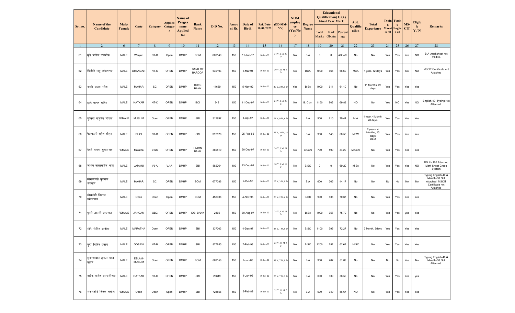|         | Name of the                 | Male/         |                         |          | Applied      | Name of<br>Progra            | <b>Bank</b>                     |         | Amou   | Date of      | <b>Ref. Date</b>  | $(DD-MM)$               | <b>NHM</b><br>employ | <b>Degree</b> |                | <b>Educational</b><br><b>Qualification</b> (U.G.)<br><b>Final Year Mark</b> |                | Add.              | <b>Total</b>                            | g     | Typin   Typin<br>g   | MS-        | Eligib    |                                                                                         |
|---------|-----------------------------|---------------|-------------------------|----------|--------------|------------------------------|---------------------------------|---------|--------|--------------|-------------------|-------------------------|----------------------|---------------|----------------|-----------------------------------------------------------------------------|----------------|-------------------|-----------------------------------------|-------|----------------------|------------|-----------|-----------------------------------------------------------------------------------------|
| Sr. no. | Candidate                   | Female        | Caste                   | Category | Categor<br>y | mme<br><b>Applied</b><br>for | <b>Name</b>                     | D D No. | nt Rs. | <b>Birth</b> | 10/01/2022        | YY)                     | ee<br>(Yes/No)       | Name          | Total<br>Marks | Mark<br>Obtain                                                              | Percent<br>age | Qualific<br>ation | <b>Experience</b>                       | hi 30 | Marat Englis<br>h 40 | <b>CIT</b> | le<br>Y/N | <b>Remarks</b>                                                                          |
| -1      | $\mathcal{D}$               | 6             | 7                       | 8        | 9            | 10                           | 11                              | 12      | 13     | 14           | 15                | 16                      | 17                   | 18            | 19             | 20                                                                          | 21             | 22                | 23                                      | 24    | 25                   | 26         | 27        | 28                                                                                      |
| 61      | मूंढे मनोज वाल्मीक          | MALE          | Wanjari                 | NT-D     | Open         | <b>DMHP</b>                  | <b>BOM</b>                      | 669149  | 150    | 11-Jun-87    | $10$ -Jan-22      | 34 Y, 6 M, 30<br>$\,$ D | No                   | B.A           | $\mathbf 0$    | $\mathbf 0$                                                                 | #DIV/0!        | No                | No                                      | Yes   | Yes                  | Yes        | <b>NO</b> | B.A , marksheet not<br>Visible.                                                         |
| 62      | धिंडोळे लहु व्यंकटराव       | MALE          | <b>DHANGAR</b>          | NT-C     | OPEN         | <b>DMHP</b>                  | <b>BANK OF</b><br><b>BARODA</b> | 639193  | 150    | 6-Mar-91     | 10-Jan-22         | 30 Y, 10 M, 4<br>D      | No                   | <b>BCA</b>    | 1000           | 666                                                                         | 66.60          | <b>MCA</b>        | 1 year, 12 days                         | Yes   | Yes                  | No         | <b>NO</b> | MSCIT Certificate not<br>Attached                                                       |
| 63      | कसबे अजय रमेश               | MALE          | <b>MAHAR</b>            | SC       | OPEN         | <b>DMHP</b>                  | <b>HDFC</b><br><b>BANK</b>      | 11669   | 150    | 5-Nov-92     | $10$ -Jan-22      | 29 Y, 2 M, 5 D          | Yes                  | B Sc          | 1000           | 611                                                                         | 61.10          | No                | 11 Months, 26<br>days                   | Yes   | Yes                  | Yes        | Yes       |                                                                                         |
| 64      | हाके सागर सतिष              | MALE          | <b>HATKAR</b>           | NT-C     | <b>OPEN</b>  | <b>DMHP</b>                  | <b>BOI</b>                      | 348     | 150    | 11-Dec-97    | 10-Jan-22         | 24 Y, 0 M, 30<br>D      | No                   | B. Com        | 1150           | 803                                                                         | 69.83          | <b>NO</b>         | No                                      | Yes   | <b>NO</b>            | Yes        | <b>NO</b> | English-40 Typing Not<br>Attached.                                                      |
| 65      | ∣मूनिबा बाबूबेग मोगल        | <b>FEMALE</b> | <b>MUSLIM</b>           | Open     | OPEN         | <b>DMHP</b>                  | <b>SBI</b>                      | 312997  | 150    | 4-Apr-97     | $10$ -Jan-22 $\,$ | 24 Y, 9 M, 6 D          | No                   | B.A           | 900            | 715                                                                         | 79.44          | M.A               | year, 4 Month,<br>28 days.              | Yes   | Yes                  | Yes        | Yes       |                                                                                         |
| 66      | पेदापल्ली महेश मोहन         | MALE          | <b>BHOI</b>             | NT-B     | OPEN         | <b>DMHP</b>                  | SBI                             | 312876  | 150    | 25-Feb-85    | 10-Jan-22         | 36 Y, 10 M, 16<br>D     | No                   | B.A           | 900            | 545                                                                         | 60.56          | <b>MSW</b>        | 2 years, 4<br>Months, 15<br>days<br>DEO | Yes   | Yes                  | Yes        | Yes       |                                                                                         |
| 67      | दिवरे ममता सुभाषराव         | FEMALE        | Matatha                 | EWS      | OPEN         | <b>DMHP</b>                  | <b>UNION</b><br><b>BANK</b>     | 889819  | 150    | 20-Dec-97    | $10$ -Jan-22      | 24 Y, 0 M, 21<br>D      | No                   | B.Com         | 700            | 590                                                                         | 84.29          | M.Com             | No                                      | Yes   | Yes                  | Yes        | Yes       |                                                                                         |
| 68      | जाधव बालासाहेब आलु          | MALE          | LAMANI                  | VJ-A     | VJ-A         | <b>DMHP</b>                  | SBI                             | 582264  | 100    | 23-Dec-91    | 10-Jan-22         | 30 Y, 0 M, 18<br>D      | No                   | B.SC          | $\mathbf 0$    | $\mathbf 0$                                                                 | 69.20          | M.Sc              | No                                      | Yes   | Yes                  | Yes        | <b>NO</b> | DD Rs.100 Attached<br>Mark Sheet Grade<br>System                                        |
| 69      | सोनकांबळे युवराज<br>भगवान   | MALE          | <b>MAHAR</b>            | SC       | OPEN         | <b>DMHP</b>                  | <b>BOM</b>                      | 677086  | 150    | 2-Oct-96     | $10$ -Jan-22 $\,$ | 25 Y, 3 M, 8 D          | No                   | B.A           | 600            | 265                                                                         | 44.17          | No                | No                                      | No    | No                   | No         | No        | Typing English-40 &<br>Marathi-30 Not<br>Attached. MSCIT<br>Certificate not<br>Attached |
| 70      | सोमवंशी विशाल<br>व्यंकटराव  | MALE          | Open                    | Open     | Open         | <b>DMHP</b>                  | <b>BOM</b>                      | 456936  | 150    | 4-Nov-95     | $10$ -Jan-22      | 26 Y, 2 M, 6 D          | No                   | B.SC          | 900            | 636                                                                         | 70.67          | No                | No                                      | Yes   | Yes                  | Yes        | Yes       |                                                                                         |
| 71      | घुम्मे आरती बस्वराज         | FEMALE        | <b>JANGAM</b>           | OBC      | <b>OPEN</b>  | <b>DMHP</b>                  | <b>IDBI BANK</b>                | 2165    | 150    | 30-Aug-97    | 10-Jan-22         | 24 Y, 4 M, 11<br>D      | No                   | B.Sc          | 1000           | 757                                                                         | 75.70          | No                | No                                      | Yes   | Yes                  | yes        | Yes       |                                                                                         |
| 72      | मोरे रोहित ज्ञानोबा         | MALE          | <b>MARATHA</b>          | Open     | OPEN         | <b>DMHP</b>                  | SBI                             | 337003  | 150    | 4-Dec-97     | $10$ -Jan-22      | 24 Y, 1 M, 6 D          | No                   | B.SC          | 1100           | 795                                                                         | 72.27          | No                | 2 Month, 9days                          | Yes   | Yes                  | Yes        | Yes       |                                                                                         |
| 73      | पुरी नितिन प्रकाश           | MALE          | GOSAVI                  | NT-B     | OPEN         | <b>DMHP</b>                  | SBI                             | 877855  | 150    | 7-Feb-98     | $10$ -Jan-22      | 23 Y, 11 M, 3<br>D      | No                   | B.SC          | 1200           | 752                                                                         | 62.67          | M.SC              | No                                      | Yes   | Yes                  | Yes        | Yes       |                                                                                         |
| 74      | मुकरमखान हारुन खान<br>पठाण  | MALE          | ESLAM-<br><b>MUSLIM</b> | Open     | OPEN         | <b>DMHP</b>                  | <b>BOM</b>                      | 669150  | 150    | 2-Jun-83     | 10-Jan-22         | 38 Y, 7 M, 8 D          | No                   | B.A           | 900            | 467                                                                         | 51.89          | No                | No                                      | No    | No                   | Yes        | No        | Typing English-40 &<br>Marathi-30 Not<br>Attached.                                      |
| 75      | नाईक राजेश बालाजीराव        | MALE          | <b>HATKAR</b>           | NT-C     | OPEN         | <b>DMHP</b>                  | SBI                             | 23819   | 150    | 1-Jun-96     | $10$ -Jan-22      | 25 Y, 7 M, 9 D          | No                   | B.A           | 600            | 339                                                                         | 56.50          | No                | No                                      | Yes   | Yes                  | Yes        | yes       |                                                                                         |
| 76      | अंकलकोटे शितल अशोक   FEMALE |               | Open                    | Open     | Open         | <b>DMHP</b>                  | SBI                             | 728858  | 150    | 5-Feb-89     | $10$ -Jan-22      | 32 Y, 11 M, 5<br>D      | No                   | B.A           | 600            | 340                                                                         | 56.67          | <b>NO</b>         | No                                      | Yes   | Yes                  | Yes        | Yes       |                                                                                         |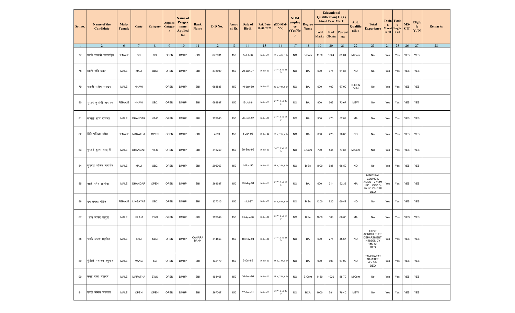|         | Name of the           | Male/  |                 |                           | <b>Applied</b> | Name of<br>Progra            | <b>Bank</b>           |                                                                                                                                                 | Amou   | Date of      | <b>Ref. Date</b> | $(DD-MM)$               | <b>NHM</b><br>employ | <b>Degree</b> |                | <b>Educational</b><br>Qualification(U.G.)<br><b>Final Year Mark</b> |                | Add.              | <b>Total</b>                                                              |     | Typin   Typin                         | MS-                   | <b>Eligib</b> |         |
|---------|-----------------------|--------|-----------------|---------------------------|----------------|------------------------------|-----------------------|-------------------------------------------------------------------------------------------------------------------------------------------------|--------|--------------|------------------|-------------------------|----------------------|---------------|----------------|---------------------------------------------------------------------|----------------|-------------------|---------------------------------------------------------------------------|-----|---------------------------------------|-----------------------|---------------|---------|
| Sr. no. | Candidate             | Female | Caste           | Category                  | Categor<br>y   | mme<br><b>Applied</b><br>for | Name                  | D D No.                                                                                                                                         | nt Rs. | <b>Birth</b> | 10/01/2022       | YY)                     | ee<br>(Xes/No)       | Name          | Total<br>Marks | Mark<br>Obtain                                                      | Percent<br>age | Qualific<br>ation | <b>Experience</b>                                                         | g   | g<br>Marat Englis CIT<br>hi 30   h 40 |                       | $l$ e<br>Y/N  | Remarks |
| -1      | 2                     | 6      | $7\phantom{.0}$ | 8                         | 9              | 10                           | 11                    | 12                                                                                                                                              | 13     | 14           | 15               | 16                      | 17                   | 18            | 19             | 20                                                                  | 21             | 22                | 23                                                                        | 24  | 25                                    | 26                    | 27            | 28      |
| 77      | कटके राजश्री रावसाहेब | FEMALE | SC              | SC                        | OPEN           | <b>DMHP</b>                  | SBI                   | 672031                                                                                                                                          | 150    | 5-Jul-98     | $10$ -Jan-22     | 23 Y, 6 M, 5 D          | <b>NO</b>            | B.Com         | 1150           | 1024                                                                | 89.04          | M.Com             | No                                                                        | Yes | Yes                                   | <b>YES</b>            | <b>YES</b>    |         |
| 78      | माळी रवि बबर          | MALE   | MALI            | OBC                       | OPEN           | <b>DMHP</b>                  | SBI                   | 378699                                                                                                                                          | 150    | 20-Jun-97    | $10$ -Jan-22     | 24 Y, 6 M, 21<br>D      | <b>NO</b>            | BA            | 600            | 371                                                                 | 61.83          | <b>NO</b>         | No                                                                        | Yes | Yes                                   | <b>YES</b>            | YES           |         |
| 79      | गवळी संतोष जयध्रथ     | MALE   | <b>NHAVI</b>    |                           | OPEN           | <b>DMHP</b>                  | SBI                   | 688888                                                                                                                                          | 150    | 10-Jun-89    | $10$ -Jan-22     | 32 Y, 7 M, 0 D          | <b>NO</b>            | BA            | 600            | 402                                                                 | 67.00          | B.Ed &<br>D.Ed    | No                                                                        | Yes | Yes                                   | <b>YES</b>            | <b>YES</b>    |         |
| 80      | भुसारे शुभांगी नारायण | FEMALE | <b>NHAVI</b>    | OBC                       | OPEN           | <b>DMHP</b>                  | SBI                   | 688887                                                                                                                                          | 150    | 12-Jul-94    | $10$ -Jan-22     | 27 Y, 5 M, 29<br>$\,$ D | <b>NO</b>            | BA            | 900            | 663                                                                 | 73.67          | <b>MSW</b>        | No                                                                        | Yes | Yes                                   | <b>YES</b>            | YES           |         |
| 81      | खरोळे शाम रामचंद्र    | MALE   | <b>DHANGAR</b>  | NT-C                      | OPEN           | <b>DMHP</b>                  | SBI                   | 728865                                                                                                                                          | 150    | 26-Sep-97    | $10$ Jan-22 $\,$ | 24 Y, 3 M, 15<br>D      | <b>NO</b>            | BA            | 900            | 476                                                                 | 52.89          | MA                | No                                                                        | Yes | Yes                                   | <b>YES</b>            | YES           |         |
| 82      | शिंदे प्रतिक्षा उमेश  | FEMALE | <b>MARATHA</b>  | OPEN                      | OPEN           | <b>DMHP</b>                  | SBI                   | 4589                                                                                                                                            | 150    | 4-Jun-98     | $10$ -Jan-22     | 23 Y, 7 M, 6 D          | <b>NO</b>            | BA            | 600            | 425                                                                 | 70.83          | <b>NO</b>         | No                                                                        | Yes | Yes                                   | <b>YES</b>            | <b>YES</b>    |         |
| 83      | गूरदडे कृष्णा मल्हारी | MALE   | <b>DHANGAR</b>  | NT-C                      | OPEN           | <b>DMHP</b>                  | SBI                   | 516750                                                                                                                                          | 150    | 29-Sep-95    | $10$ -Jan-22     | 26 Y, 3 M, 12<br>D      | NO.                  | B.Com         | 700            | 545                                                                 | 77.86          | M.Com             | <b>NO</b>                                                                 | Yes | Yes                                   | <b>YES</b>            | YES           |         |
| 84      | सुरवसे अजित जनार्धन   | MALE   | MALI            | OBC                       | OPEN           | <b>DMHP</b>                  | SBI                   | 206363                                                                                                                                          | 150    | 1-Nov-96     | $10$ -Jan-22     | 25 Y, 2 M, 9 D          | <b>NO</b>            | B.Sc          | 1000           | 685                                                                 | 68.50          | <b>NO</b>         | No                                                                        | Yes | Yes                                   | <b>YES</b>            | <b>YES</b>    |         |
| 85      | काळे गणेश ज्ञानोबा    | MALE   | <b>DHANGAR</b>  | <b>OPEN</b>               | OPEN           | <b>DMHP</b>                  | SBI                   | 261687                                                                                                                                          | 150    | 28-May-94    | $10$ -Jan-22     | 27 Y, 7 M, 13<br>D      | <b>NO</b>            | BA            | 600            | 314                                                                 | 52.33          | MA                | MINICIPAL<br>COUNCIL<br>AUSA 2 Y 2M<br>14D COVID-<br>19 1Y 10M 27D<br>DEO | Yes | Yes                                   | <b>YES</b>            | YES           |         |
| 86      | ढगे प्रगती पंडित      | FEMALE | LINGAYAT        | OBC                       | OPEN           | <b>DMHP</b>                  | SBI                   | 337015                                                                                                                                          | 150    | 1-Jul-97     | $10$ -Jan-22     | 24 Y, 6 M, 9 D          | <b>NO</b>            | B,Sc          | 1200           | 725                                                                 | 60.42          | <b>NO</b>         | No                                                                        | Yes | Yes                                   | YES                   | YES           |         |
| 87      | शेख जावेद शाद्ल       | MALE   | <b>ISLAM</b>    | EWS                       | OPEN           | <b>DMHP</b>                  | SBI                   | 728849                                                                                                                                          | 150    | 25-Apr-98    | $10$ -Jan-22     | 23 Y, 8 M, 16<br>D      | <b>NO</b>            | B.Sc          | 1000           | 688                                                                 | 68.80          | MA                | No                                                                        | Yes | Yes                                   | <b>YES</b>            | YES           |         |
|         | 88 चिक्के अजय महादेव  |        | MALE   SALI     | $ $ SBC $ $ OPEN $ $ DMHP |                |                              | CANARA<br><b>BANK</b> | 514553   150   18-Nov-94   10-Jan-22 $\begin{vmatrix} 27 \text{ Y}, 1 \text{ M}, 23 \\ \text{D} \end{vmatrix}$ NO   BA   600   274   45.67   NO |        |              |                  | D                       |                      |               |                |                                                                     |                |                   | GOVT<br>AGRICULTURE<br>DEPARTMENT,<br>HINGOLI 3Y<br>11M 5D<br>DEO         |     |                                       | Yes   Yes   YES   YES |               |         |
| 89      | गूंडीले गजानन रघुनाथ  | MALE   | MANG            | SC                        | OPEN           | <b>DMHP</b>                  | SBI                   | 132179                                                                                                                                          | 150    | 5-Oct-86     | $10$ -Jan-22     | 35 Y, 3 M, 5 D          | <b>NO</b>            | BA            | 900            | 603                                                                 | 67.00          | <b>NO</b>         | PANCHAYAT<br>SAMITEE<br>4 Y 5 M<br>DEO                                    | Yes | Yes                                   | YES                   | YES           |         |
| 90      | कपटे दत्ता महादेव     | MALE   | MARATHA         | EWS                       | OPEN           | <b>DMHP</b>                  | SBI                   | 168466                                                                                                                                          | 150    | 10-Jun-96    | $10$ -Jan-22     | 25 Y, 7 M, 0 D          | <b>NO</b>            | B.Com         | 1150           | 1020                                                                | 88.70          | M.Com             | No                                                                        | Yes | Yes                                   | YES                   | <b>YES</b>    |         |
| 91      | ढवळे योगेश चंद्रकांत  | MALE   | OPEN            | OPEN                      | OPEN           | <b>DMHP</b>                  | SBI                   | 267207                                                                                                                                          | 150    | 12-Jun-91    | $10$ -Jan-22     | 30 Y, 6 M, 29<br>D      | <b>NO</b>            | BCA           | 1000           | 784                                                                 | 78.40          | MSW               | No                                                                        | Yes | Yes                                   | YES                   | YES           |         |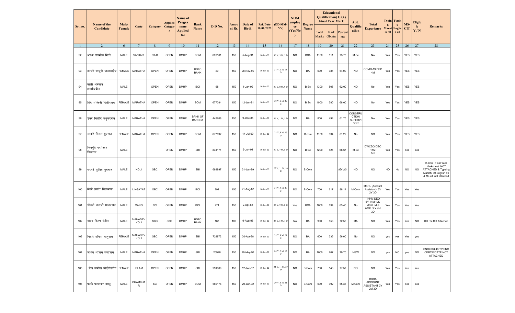|         | Name of the                   | Male/  |                 |             | Applied      | Name of<br>Progra     | <b>Bank</b>                     |         | Amou   | Date of      | <b>Ref. Date</b> | $(DD-MM-$                | <b>NHM</b><br>employ | <b>Degree</b> |                       | <b>Educational</b><br><b>Qualification</b> (U.G.)<br><b>Final Year Mark</b> |                | Add.                                             | <b>Total</b>                                                        | g         | Typin   Typin  <br>g | MS-        | <b>Eligib</b> |                                                                                                                   |
|---------|-------------------------------|--------|-----------------|-------------|--------------|-----------------------|---------------------------------|---------|--------|--------------|------------------|--------------------------|----------------------|---------------|-----------------------|-----------------------------------------------------------------------------|----------------|--------------------------------------------------|---------------------------------------------------------------------|-----------|----------------------|------------|---------------|-------------------------------------------------------------------------------------------------------------------|
| Sr. no. | Candidate                     | Female | Caste           | Category    | Categor<br>y | mme<br>Applied<br>for | Name                            | D D No. | nt Rs. | <b>Birth</b> | 10/01/2022       | YY)                      | ee<br>(Yes/No        | Name          | Total<br><b>Marks</b> | Mark<br>Obtain                                                              | Percent<br>age | Qualific<br>ation                                | <b>Experience</b>                                                   | hi 30     | Marat Englis<br>h 40 | <b>CIT</b> | le<br>Y/N     | <b>Remarks</b>                                                                                                    |
| -1      | $\mathcal{D}$                 | 6      | 7               | 8           | 9            | 10                    | 11                              | 12      | 13     | 14           | 15               | 16                       | 17                   | 18            | 19                    | 20                                                                          | 21             | 22                                               | 23                                                                  | 24        | 25                   | 26         | 27            | 28                                                                                                                |
| 92      | अरुण वाल्मीक गित्ते           | MALE   | VANJARI         | NT-D        | OPEN         | <b>DMHP</b>           | <b>BOM</b>                      | 669161  | 150    | 5-Aug-91     | $10$ -Jan-22     | 30 Y, 5 M, 5 D           | <b>NO</b>            | <b>BCA</b>    | 1100                  | 811                                                                         | 73.73          | M.Sc                                             | No                                                                  | Yes       | Yes                  | YES        | YES           |                                                                                                                   |
| 93      | नरवडे माधूरी बाळासाहेब FEMALE |        | <b>MARATHA</b>  | OPEN        | OPEN         | <b>DMHP</b>           | <b>HDFC</b><br><b>BANK</b>      | 29      | 150    | 28-Nov-90    | $10$ -Jan-22     | 31 Y, 1 M, 13<br>D       | <b>NO</b>            | BA            | 600                   | 384                                                                         | 64.00          | <b>NO</b>                                        | COVID-19 DEO<br>4M                                                  | Yes       | Yes                  | <b>YES</b> | <b>YES</b>    |                                                                                                                   |
| 94      | काझी अरबाज<br> ज्ञमशोददीन     | MALE   |                 | OPEN        | OPEN         | <b>DMHP</b>           | <b>BOI</b>                      | 68      | 150    | 1-Jan-92     | $10$ -Jan-22     | 30 Y, 0 M, 9 D           | <b>NO</b>            | B.Sc          | 1300                  | 806                                                                         | 62.00          | <b>NO</b>                                        | No                                                                  | Yes       | Yes                  | YES        | <b>YES</b>    |                                                                                                                   |
| 95      | श्चिंदे अश्विनी दिलीपराव      | FEMALE | <b>MARATHA</b>  | OPEN        | <b>OPEN</b>  | <b>DMHP</b>           | <b>BOM</b>                      | 677084  | 150    | 12-Jun-91    | $10$ -Jan-22     | 30 Y, 6 M, 29<br>D       | <b>NO</b>            | B.Sc          | 1000                  | 680                                                                         | 68.00          | <b>NO</b>                                        | No                                                                  | Yes       | Yes                  | <b>YES</b> | <b>YES</b>    |                                                                                                                   |
| 96      | उंबरे मिलींद मधुकरराव         | MALE   | <b>MARATHA</b>  | OPEN        | OPEN         | <b>DMHP</b>           | <b>BANK OF</b><br><b>BARODA</b> | 443708  | 150    | 9-Dec-85     | $10$ -Jan-22     | 36 Y, 1 M, 1 D           | <b>NO</b>            | BA            | 800                   | 494                                                                         | 61.75          | CONSTRU<br><b>CTION</b><br><b>SUPERVI</b><br>SOR | No                                                                  | Yes       | Yes                  | YES        | YES           |                                                                                                                   |
| 97      | जावळे शितल युवराज             | FEMALE | <b>MARATHA</b>  | OPEN        | OPEN         | <b>DMHP</b>           | <b>BOM</b>                      | 677092  | 150    | 14-Jul-99    | $10$ -Jan-22     | 22 Y, 5 M, 27<br>$\,$ D  | <b>NO</b>            | B.com         | 1150                  | 934                                                                         | 81.22          | No                                               | <b>NO</b>                                                           | Yes       | Yes                  | YES        | <b>YES</b>    |                                                                                                                   |
| 98      | चिनगुंडे परमेश्वर<br>भिमराव   | MALE   |                 |             | OPEN         | <b>DMHP</b>           | SBI                             | 831171  | 150    | 5-Jun-91     | $10$ -Jan-22     | 30 Y, 7 M, 5 D           | NO                   | B.Sc          | 1200                  | 824                                                                         | 68.67          | M.Sc                                             | DWCDO DEO<br>11M<br>5D                                              | Yes       | Yes                  | Yes        | Yes           |                                                                                                                   |
| 99      | गरगटे सूजित युवराज            | MALE   | KOLI            | <b>SBC</b>  | OPEN         | <b>DMHP</b>           | SBI                             | 688897  | 150    | 31-Jan-99    | $10$ -Jan-22     | 22 Y, 11 M, 10<br>$\,$ D | <b>NO</b>            | B.Com         |                       |                                                                             | #DIV/0!        | <b>NO</b>                                        | <b>NO</b>                                                           | <b>NO</b> | No                   | <b>NO</b>  | <b>NO</b>     | <b>B.Com Final Year</b><br>Marksheet NOT<br>ATTACHED & Typeing<br>Marathi 30, English 40<br>& Ms cit not attached |
| 100     | मिदगे प्रशांत सिद्रामप्पा     | MALE   | LINGAYAT        | OBC         | OPEN         | <b>DMHP</b>           | <b>BOI</b>                      | 292     | 150    | 21-Aug-87    | $10$ -Jan-22     | 34 Y, 4 M, 20<br>$\,$ D  | <b>NO</b>            | B.Com         | 700                   | 617                                                                         | 88.14          | M.Com                                            | <b>MSRL</b> (Account<br>Assistant) 3Y<br>2Y 3D                      | Yes       | Yes                  | Yes        | Yes           |                                                                                                                   |
| 101     | भोसले धनाजी माधवराव           | MALE   | MANG            | SC          | OPEN         | <b>DMHP</b>           | BOI                             | 271     | 150    | 2-Apr-88     | $10$ -Jan-22     | 33 Y, 9 M, 8 D           | Yes                  | <b>BCA</b>    | 1000                  | 634                                                                         | 63.40          | No                                               | <b>NHM DEO</b><br>6Y 11M 12D<br><b>MSRL MIS</b><br>&ME 3 Y 4M<br>3D | Yes       | Yes                  | Yes        | Yes           |                                                                                                                   |
| 102     | यादव किरण पंडीत               | MALE   | MAHADEV<br>KOLI | <b>SBC</b>  | SBC          | <b>DMHP</b>           | <b>HDFC</b><br><b>BANK</b>      | 167     | 100    | 9-Aug-96     | $10$ -Jan-22     | 25 Y, 5 M, 1 D           | No                   | BA            | 900                   | 653                                                                         | 72.56          | MA                                               | <b>NO</b>                                                           | Yes       | Yes                  | Yes        | <b>NO</b>     | DD Rs.100 Attached                                                                                                |
| 103     | पिटले मनिषा भानुदास           | FEMALE | MAHADEV<br>KOLI | <b>SBC</b>  | OPEN         | <b>DMHP</b>           | SBI                             | 728872  | 150    | 20-Apr-88    | $10$ -Jan-22     | 33 Y, 8 M, 21<br>D       | <b>NO</b>            | BA            | 600                   | 336                                                                         | 56.00          | No                                               | <b>NO</b>                                                           | yes       | yes                  | Yes        | yes           |                                                                                                                   |
| 104     | जाधव श्रीराम सखाराम           | MALE   | MARATHA         | OPEN        | OPEN         | <b>DMHP</b>           | SBI                             | 20928   | 150    | 28-May-97    | $10$ -Jan-22     | 24 Y, 7 M, 13<br>D       | <b>NO</b>            | BA            | 1000                  | 707                                                                         | 70.70          | <b>MSW</b>                                       | <b>NO</b>                                                           | yes       | <b>NO</b>            | yes        | <b>NO</b>     | ENGLISH 40 TYPING<br>CERTIFICATE NOT<br>ATTACHED                                                                  |
| 105     | शेख समीना मोईनोददीन FEMALE    |        | <b>ISLAM</b>    | <b>OPEN</b> | OPEN         | <b>DMHP</b>           | SBI                             | 991960  | 150    | 12-Jan-87    | $10$ -Jan-22     | 34 Y, 11 M, 29<br>$\,$ D | <b>NO</b>            | B.Com         | 700                   | 543                                                                         | 77.57          | NO.                                              | <b>NO</b>                                                           | Yes       | Yes                  | Yes        | Yes           |                                                                                                                   |
| 106     | ∣पवळे पदमाकर दगडू             | MALE   | CHAMBHA<br>R    | SC          | OPEN         | <b>DMHP</b>           | <b>BOM</b>                      | 669178  | 150    | 20-Jun-92    | $10$ -Jan-22     | 29 Y, 6 M, 21<br>$\,$ D  | <b>NO</b>            | B.Com         | 600                   | 392                                                                         | 65.33          | M.Com                                            | <b>DRDA</b><br>ACCOUNT<br><b>ASSISTANT 3Y</b><br>2M 3D              | Yes       | Yes                  | Yes        | Yes           |                                                                                                                   |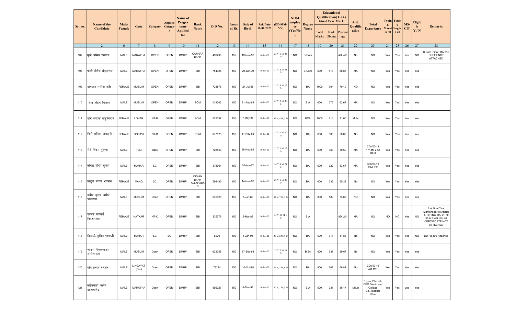|              | Name of the                | Male/         |                   |          | <b>Applied</b>      | Name of<br>Progra            | <b>Bank</b>                            |         | Amou   | Date of      | <b>Ref. Date</b> | $(DD-MM-$               | <b>NHM</b><br>employ | <b>Degree</b> |                | <b>Educational</b><br>Qualification(U.G.)<br><b>Final Year Mark</b> |                | Add.              | <b>Total</b>                                                       | g         | Typin   Typin  <br>g | MS-        | <b>Eligib</b> |                                                                                                                     |
|--------------|----------------------------|---------------|-------------------|----------|---------------------|------------------------------|----------------------------------------|---------|--------|--------------|------------------|-------------------------|----------------------|---------------|----------------|---------------------------------------------------------------------|----------------|-------------------|--------------------------------------------------------------------|-----------|----------------------|------------|---------------|---------------------------------------------------------------------------------------------------------------------|
| Sr. no.      | Candidate                  | Female        | Caste             | Category | <b>Categor</b><br>y | mme<br><b>Applied</b><br>for | Name                                   | D D No. | nt Rs. | <b>Birth</b> | 10/01/2022       | YY)                     | ee<br>(Yes/No)       | Name          | Total<br>Marks | Mark<br>Obtain                                                      | Percent<br>age | Qualific<br>ation | <b>Experience</b>                                                  | hi 30     | Marat Englis<br>h 40 | <b>CIT</b> | le<br>Y/N     | <b>Remarks</b>                                                                                                      |
| $\mathbf{1}$ | $\overline{2}$             | 6             | $7\phantom{.0}$   | 8        | 9                   | 10                           | 11                                     | 12      | 13     | 14           | 15               | 16                      | 17                   | 18            | 19             | 20                                                                  | 21             | 22                | 23                                                                 | 24        | 25                   | 26         | 27            | $\overline{28}$                                                                                                     |
| 107          | मूळे अमित रंगनाथ           | MALE          | MARATHA           | OPEN     | OPEN                | <b>DMHP</b>                  | CANARA<br><b>BANK</b>                  | 490290  | 150    | 18-Nov-98    | $10-Jan-22$      | 23 Y, 1 M, 23<br>D      | <b>NO</b>            | B.Com         |                |                                                                     | #DIV/0!        | No                | <b>NO</b>                                                          | Yes       | Yes                  | Yes        | <b>NO</b>     | <b>B.Com Final MARKS</b><br>SHEET NOT<br><b>ATTACHED</b>                                                            |
| 108          | पतंगे योगेश मोहनराव        | MALE          | MARATHA           | OPEN     | OPEN                | <b>DMHP</b>                  | <b>SBI</b>                             | 754328  | 150    | 20-Jun-90    | 10-Jan-22        | 31 Y, 6 M, 21<br>D      | NO.                  | B.Com         | 600            | 413                                                                 | 68.83          | MA                | <b>NO</b>                                                          | Yes       | Yes                  | Yes        | Yes           |                                                                                                                     |
| 109          | बागवान समीना नबी           | <b>FEMALE</b> | <b>MUSLIM</b>     | OPEN     | OPEN                | <b>DMHP</b>                  | SBI                                    | 728878  | 150    | 24-Jul-98    | $10$ -Jan-22     | 23 Y, 5 M, 17<br>D      | <b>NO</b>            | BA            | 1000           | 704                                                                 | 70.40          | <b>NO</b>         | <b>NO</b>                                                          | Yes       | Yes                  | Yes        | Yes           |                                                                                                                     |
| 110          | शेख रहिम निजाम             | MALE          | <b>MUSLIM</b>     | OPEN     | <b>OPEN</b>         | <b>DMHP</b>                  | <b>BOM</b>                             | 431302  | 150    | 21-Aug-88    | 10-Jan-22        | 33 Y, 4 M, 20<br>D      | NO.                  | B.A           | 600            | 376                                                                 | 62.67          | MA                | <b>NO</b>                                                          | Yes       | Yes                  | Yes        | Yes           |                                                                                                                     |
| 111          | ∣डोंगे सरोजा पांडूरंगराव   | <b>FEMALE</b> | LOHAR             | NT-B     | OPEN                | <b>DMHP</b>                  | <b>BOM</b>                             | 379037  | 150    | 7-May-84     | $10$ -Jan-22     | 37 Y, 8 M, 3 D          | <b>NO</b>            | <b>BCA</b>    | 1000           | 710                                                                 | 71.00          | M.Sc              | <b>NO</b>                                                          | Yes       | Yes                  | Yes        | Yes           |                                                                                                                     |
| 112          | गिरी मनिषा रामहारी         | <b>FEMALE</b> | GOSAVI            | NT-B     | OPEN                | <b>DMHP</b>                  | <b>BOM</b>                             | 677073  | 150    | 11-Nov-83    | 10-Jan-22        | 38 Y, 1 M, 30<br>D      | <b>NO</b>            | BA            | 600            | 300                                                                 | 50.00          | No                | <b>NO</b>                                                          | Yes       | Yes                  | Yes        | Yes           |                                                                                                                     |
| 113          | भेंडे विक्रम गुंडप्पा      | MALE          | TELI              | OBC      | OPEN                | <b>DMHP</b>                  | <b>SBI</b>                             | 728850  | 150    | 28-Nov-89    | $10$ -Jan-22     | 32 Y, 1 M, 13<br>$\,$ D | <b>NO</b>            | BA            | 600            | 363                                                                 | 60.50          | MA                | COVID-19<br>1 Y 4M 21D<br>DEO                                      | Yes       | Yes                  | Yes        | Yes           |                                                                                                                     |
| 114          | कांबळे प्रदिप सुभाष        | MALE          | <b>MAHAR</b>      | SC       | OPEN                | <b>DMHP</b>                  | <b>SBI</b>                             | 378901  | 150    | 20-Apr-87    | $10-Jan-22$      | 34 Y, 8 M, 21<br>D      | <b>NO</b>            | BA            | 600            | 322                                                                 | 53.67          | MA                | COVID-19<br>10M 10D                                                | Yes       | Yes                  | Yes        | Yes           |                                                                                                                     |
| 115          | काळुंके स्वाती भगवान       | <b>FEMALE</b> | MANG              | SC       | OPEN                | <b>DMHP</b>                  | <b>INDIAN</b><br>BANK<br>ALLAHABA<br>D | 598480  | 150    | 14-Nov-93    | $10$ -Jan-22     | 28 Y, 1 M, 27<br>$\,$ D | <b>NO</b>            | BA            | 600            | 332                                                                 | 55.33          | No                | <b>NO</b>                                                          | Yes       | Yes                  | Yes        | Yes           |                                                                                                                     |
| 116          | कबीर जुलध अमीर<br>चॉदपाशा  | MALE          | <b>MUSLIM</b>     | Open     | OPEN                | <b>DMHP</b>                  | SBI                                    | 592029  | 150    | 7-Jun-89     | $10$ -Jan-22     | 32 Y, 7 M, 3 D          | <b>NO</b>            | BA            | 800            | 589                                                                 | 73.63          | <b>NO</b>         | <b>NO</b>                                                          | Yes       | Yes                  | Yes        | Yes           |                                                                                                                     |
| 117          | उकरंडे नंदाताई<br>विठठलराव | FEMALE        | <b>HATKAR</b>     | NT-C     | OPEN                | <b>DMHP</b>                  | SBI                                    | 335776  | 150    | 2-Mar-88     | $10$ -Jan-22     | 33 Y, 10 M, 8<br>$\,$ D | <b>NO</b>            | B.A           |                |                                                                     | #DIV/0!        | MA                | <b>NO</b>                                                          | <b>NO</b> | <b>NO</b>            | Yes        | <b>NO</b>     | <b>B.A Final Year</b><br>Marksheet Not Attach<br>& TYPING MARATHI<br>30 & ENGLISH 40<br>CERTIFICATE NOT<br>ATTECHED |
| 118          | तिव्हाळे सूमित भागाजी      | MALE          | MAHAR             | SC       | SC                  | <b>DMHP</b>                  | <b>SBI</b>                             | 8279    | 100    | 1-Jan-95     | $10$ -Jan-22     | 27 Y, 0 M, 9 D          | <b>NO</b>            | BA            | 600            | 311                                                                 | 51.83          | No                | <b>NO</b>                                                          | Yes       | Yes                  | Yes        | <b>NO</b>     | DD Rs.100 Attached                                                                                                  |
| 119          | चाऊस फैसलचाऊस<br>अलीचाऊस   | MALE          | <b>MUSLIM</b>     | Open     | OPEN                | <b>DMHP</b>                  | SBI                                    | 923356  | 150    | 17-Sep-84    | $10$ -Jan-22     | 37 Y, 3 M, 24<br>$\,$ D | <b>NO</b>            | B.Sc          | 900            | 537                                                                 | 59.67          | No                | <b>NO</b>                                                          | Yes       | Yes                  | Yes        | Yes           |                                                                                                                     |
| 120          | गोंड प्रकाश देवराव         | MALE          | LINGAYAT<br>(Der) | Open     | OPEN                | <b>DMHP</b>                  | SBI                                    | 73274   | 150    | 10-Oct-95    | $10$ -Jan-22     | 26 Y, 3 M, 0 D          | <b>NO</b>            | BA            | 900            | 602                                                                 | 66.89          | No                | COVID-19<br>4M 12D                                                 | Yes       | Yes                  | Yes        | Yes           |                                                                                                                     |
| 121          | नाईकवाडी आनंद<br>बाळासाहेब | MALE          | MARATHA           | Open     | OPEN                | <b>DMHP</b>                  | <b>SBI</b>                             | 592027  | 150    | 5-Dec-91     | $10$ -Jan-22     | 30 Y, 1 M, 5 D          | <b>NO</b>            | B.A           | 600            | 337                                                                 | 56.17          | M.Lib             | 1 year, 2 Month<br>DEO Samiti and<br>Collage<br>CoTeacher<br>1Year | Yes       | Yes                  | yes        | Yes           |                                                                                                                     |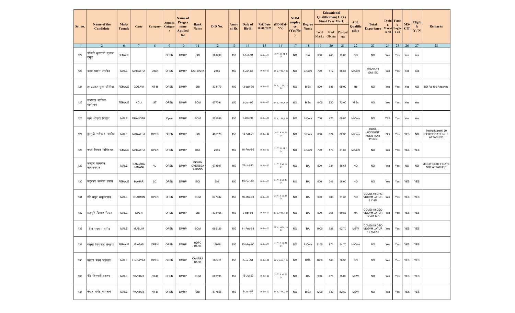|         | Name of the                 | Male/         |                          |          | <b>Applied</b> | Name of<br>Progra            | Bank                               |         | Amou   | Date of      | <b>Ref. Date</b> | (DD-MM-                       | <b>NHM</b><br>employ | <b>Degree</b> |                | <b>Educational</b><br><b>Qualification</b> (U.G.)<br><b>Final Year Mark</b> |                | Add.              | <b>Total</b>                                         | g         | Typin   Typin  <br>g    | MS-        | <b>Eligib</b> |                                                  |
|---------|-----------------------------|---------------|--------------------------|----------|----------------|------------------------------|------------------------------------|---------|--------|--------------|------------------|-------------------------------|----------------------|---------------|----------------|-----------------------------------------------------------------------------|----------------|-------------------|------------------------------------------------------|-----------|-------------------------|------------|---------------|--------------------------------------------------|
| Sr. no. | Candidate                   | Female        | Caste                    | Category | Categor<br>y   | mme<br><b>Applied</b><br>for | Name                               | D D No. | nt Rs. | <b>Birth</b> | 10/01/2022       | YY)                           | ee<br>(Yes/No)       | Name          | Total<br>Marks | Mark<br>Obtain                                                              | Percent<br>age | Qualific<br>ation | <b>Experience</b>                                    | hi 30     | Marat   Englis  <br>h40 | <b>CIT</b> | $l$ e<br>Y/N  | <b>Remarks</b>                                   |
|         | 2                           | 6             | $7\phantom{.0}$          | 8        | 9              | 10                           | 11                                 | 12      | 13     | 14           | 15               | 16                            | 17                   | 18            | 19             | 20                                                                          | 21             | 22                | 23                                                   | 24        | 25                      | 26         | 27            | 28                                               |
| 122     | चौधरी सुगराबी गुलाम<br>रसूल | <b>FEMALE</b> |                          |          | OPEN           | <b>DMHP</b>                  | SBI                                | 261700  | 150    | 9-Feb-91     | $10$ -Jan-22     | 30 Y, 11 M,<br>$\mathbf D$    | <b>NO</b>            | B.A           | 600            | 443                                                                         | 73.83          | <b>NO</b>         | <b>NO</b>                                            | Yes       | Yes                     | Yes        | Yes           |                                                  |
| 123     | कदम प्रशांत नामदेव          | MALE          | MARATHA                  | Open     | OPEN           | <b>DMHP</b>                  | <b>IDBI BANK</b>                   | 2185    | 150    | 3-Jun-88     | $10$ -Jan-22     | 33 Y, 7 M, 7 D                | <b>NO</b>            | B.Com         | 700            | 412                                                                         | 58.86          | M.Com             | COVID-19<br>10M 17D                                  | Yes       | Yes                     | Yes        | Yes           |                                                  |
| 124     | हरबळकर पूजा धोंडीबा         | FEMALE        | GOSAVI                   | NT-B     | OPEN           | <b>DMHP</b>                  | SBI                                | 831179  | 100    | 13-Jan-95    | $10$ -Jan-22     | 26 Y, 11 M, 28<br>D           | <b>NO</b>            | B.Sc          | 900            | 585                                                                         | 65.00          | No                | <b>NO</b>                                            | Yes       | Yes                     | Yes        | <b>NO</b>     | DD Rs.100 Attached                               |
| 125     | जमादार सारिका<br>गोपीनाथ    | <b>FEMALE</b> | KOLI                     | ST       | <b>OPEN</b>    | <b>DMHP</b>                  | <b>BOM</b>                         | 677091  | 150    | 1-Jun-95     | $10$ -Jan-22     | 26 Y, 7 M, 9 D                | <b>NO</b>            | B.Sc          | 1000           | 720                                                                         | 72.00          | M.Sc              | <b>NO</b>                                            | Yes       | Yes                     | Yes        | Yes           |                                                  |
| 126     | माने श्रीहरी दिलीप          | MALE          | <b>DHANGAR</b>           |          | Open           | <b>DMHP</b>                  | <b>BOM</b>                         | 329889  | 150    | 1-Dec-94     | 10-Jan-22        | 27 Y, 1 M, 9 D                | <b>NO</b>            | B.Com         | 700            | 426                                                                         | 60.86          | M.Com             | <b>NO</b>                                            | YES       | Yes                     | Yes        | Yes           |                                                  |
| 127     | दुरगुळे रामेश्वर नामदेव     | MALE          | <b>MARATHA</b>           | OPEN     | OPEN           | <b>DMHP</b>                  | <b>SBI</b>                         | 482120  | 150    | 15-Apr-91    | $10$ -Jan-22     | 30 Y, 8 M, 26<br>D            | <b>NO</b>            | B.Com         | 600            | 374                                                                         | 62.33          | M.Com             | <b>DRDA</b><br><b>ACCOUNT</b><br>ASSISTANT<br>3Y 23D | <b>NO</b> | Yes                     | <b>YES</b> | <b>NO</b>     | Typing Marathi 30<br>CERTIFICATE NOT<br>ATTACHED |
| 128     | कदम शितल गोविंदराव          | <b>FEMALE</b> | <b>MARATHA</b>           | OPEN     | OPEN           | <b>DMHP</b>                  | <b>BOI</b>                         | 2545    | 150    | 10-Feb-96    | $10$ -Jan-22     | 25 Y, 11 M, 0<br>$\mathbf D$  | <b>NO</b>            | B.Com         | 700            | 573                                                                         | 81.86          | M.Com             | <b>NO</b>                                            | Yes       | Yes                     | <b>YES</b> | <b>YES</b>    |                                                  |
| 129     | चव्हाण शामराव<br>नारायणराव  | MALE          | <b>BANJARA</b><br>LAMANI | VJ       | OPEN           | <b>DMHP</b>                  | <b>INDIAN</b><br>OVERSEA<br>S BANK | 674597  | 150    | 22-Jul-90    | $10$ -Jan-22     | 31 Y, 5 M, 19<br>$\mathbf D$  | <b>NO</b>            | BA            | 600            | 334                                                                         | 55.67          | <b>NO</b>         | <b>NO</b>                                            | Yes       | Yes                     | <b>NO</b>  | <b>NO</b>     | MS-CIT CERTIFICATE<br>NOT ATTACHED               |
| 130     | बडुरकर पल्लवी प्रशांत       | <b>FEMALE</b> | MAHAR                    | SC       | OPEN           | <b>DMHP</b>                  | <b>BOI</b>                         | 358     | 150    | 13-Dec-95    | $10$ -Jan-22     | 26 Y, 0 M, 28<br>$\mathbf D$  | <b>NO</b>            | BA            | 600            | 348                                                                         | 58.00          | <b>NO</b>         | <b>NO</b>                                            | Yes       | Yes                     | YES        | <b>YES</b>    |                                                  |
| 131     | दंडे मयुर मधुकरराव          | MALE          | <b>BRAHMIN</b>           | OPEN     | OPEN           | <b>DMHP</b>                  | <b>BOM</b>                         | 677082  | 150    | 16-Mar-93    | $10$ -Jan-22     | 28 Y, 9 M, 25<br>D            | <b>NO</b>            | BA            | 600            | 308                                                                         | 51.33          | <b>NO</b>         | COVID-19 DHC-<br><b>VDGVM LATUR</b><br>1 Y 4M        | Yes       | Yes                     | YES        | YES           |                                                  |
| 132     | महापुरे विशाल जिवन          | MALE          | <b>OPEN</b>              |          | OPEN           | <b>DMHP</b>                  | SBI                                | 831166  | 150    | 3-Apr-93     | $10$ -Jan-22     | 28 Y, 9 M, 7 D                | <b>NO</b>            | BA            | 600            | 365                                                                         | 60.83          | MA                | COVID-19 DEO-<br><b>VDGVM LATUR</b><br>1Y 4M 14D     | Yes       | Yes                     | YES        | <b>YES</b>    |                                                  |
| 133     | शेख सददाम हमीद              | MALE          | <b>MUSLIM</b>            |          | OPEN           | <b>DMHP</b>                  | <b>BOM</b>                         | 669129  | 150    | 11-Feb-98    | $10$ -Jan-22     | 23 Y, 10 M, 30<br>$\mathbf D$ | <b>NO</b>            | BA            | 1000           | 627                                                                         | 62.70          | <b>MSW</b>        | COVID-19 DEO-<br>VDGVM LATUR<br>1Y 1M 7D             | Yes       | Yes                     | YES        | YES           |                                                  |
| 134     | स्वामी मिराबाई संगाप्पा     | FEMALE        | JANGAM                   | OPEN     | OPEN           | <b>DMHP</b>                  | <b>HDFC</b><br><b>BANK</b>         | 11086   | 150    | 20-May-90    | $10$ -Jan-22     | 31 Y, 7 M, 21<br>$\mathbf D$  | NO.                  | B.Com         | 1150           | 974                                                                         | 84.70          | M.Com             | <b>NO</b>                                            | Yes       | Yes                     | YES        | YES           |                                                  |
| 135     | काडोदे रेवन चंद्रकांत       | MALE          | LINGAYAT                 | OPEN     | OPEN           | <b>DMHP</b>                  | CANARA<br>BANK                     | 285411  | 150    | 3-Jan-91     | $10$ -Jan-22     | 31 Y, 0 M, 7 D                | <b>NO</b>            | BCA           | 1000           | 569                                                                         | 56.90          | <b>NO</b>         | <b>NO</b>                                            | Yes       | Yes                     | YES        | <b>YES</b>    |                                                  |
| 136     | केंद्रे तिरुपती दशरथ        | MALE          | VANJARI                  | NT-D     | OPEN           | <b>DMHP</b>                  | <b>BOM</b>                         | 669195  | 150    | 15-Jul-93    | $10$ -Jan-22     | 28 Y, 5 M, 26<br>$\mathbf D$  | <b>NO</b>            | BA            | 900            | 675                                                                         | 75.00          | <b>MSW</b>        | <b>NO</b>                                            | Yes       | Yes                     | YES        | YES           |                                                  |
| 137     | केदार धर्मेंद्र नागनाथ      | MALE          | VANJARI                  | NT-D     | OPEN           | <b>DMHP</b>                  | SBI                                | 877858  | 150    | 8-Jun-87     | $10$ -Jan-22     | 34 Y, 7 M, 2 D                | NO.                  | B.Sc          | 1200           | 630                                                                         | 52.50          | <b>MSW</b>        | <b>NO</b>                                            | Yes       | Yes                     | YES        | YES           |                                                  |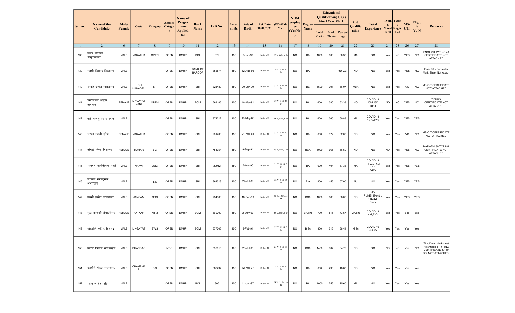|         | Name of the                   | Male/         |                  |                 | Applied      | Name of<br>Progra            | <b>Bank</b>                     |         |                | Date of      |                                | $(DD-MM)$               | <b>NHM</b><br>employ | <b>Degree</b> |                       | <b>Educational</b><br>Qualification(U.G.)<br><b>Final Year Mark</b> |                | Add.              | <b>Total</b>                                  |            | Typin   Typin            | MS-        | <b>Eligib</b> |                                                                                      |
|---------|-------------------------------|---------------|------------------|-----------------|--------------|------------------------------|---------------------------------|---------|----------------|--------------|--------------------------------|-------------------------|----------------------|---------------|-----------------------|---------------------------------------------------------------------|----------------|-------------------|-----------------------------------------------|------------|--------------------------|------------|---------------|--------------------------------------------------------------------------------------|
| Sr. no. | Candidate                     | Female        | Caste            | <b>Category</b> | Categor<br>y | mme<br><b>Applied</b><br>for | Name                            | D D No. | Amou<br>nt Rs. | <b>Birth</b> | <b>Ref. Date</b><br>10/01/2022 | YY)                     | ee<br>(Yes/No)       | Name          | Total<br><b>Marks</b> | Mark<br>Obtain                                                      | Percent<br>age | Qualific<br>ation | <b>Experience</b>                             | g<br>hi 30 | g<br>Marat Englis<br>h40 | <b>CIT</b> | le<br>Y/N     | <b>Remarks</b>                                                                       |
|         |                               | 6             |                  | 8               | 9            | 10                           | 11                              | 12      | 13             | 14           | 15                             | 16                      | 17                   | 18            | 19                    | 20                                                                  | 21             | 22                | 23                                            | 24         | 25                       | 26         | 27            | 28                                                                                   |
| 138     | उपाडे ऋगीकेश<br>भानुदासराव    | MALE          | <b>MARATHA</b>   | OPEN            | OPEN         | <b>DMHP</b>                  | <b>BOI</b>                      | 372     | 150            | 6-Jan-97     | $10$ -Jan-22                   | 25 Y, 0 M, 4 D          | <b>NO</b>            | BA            | 1000                  | 603                                                                 | 60.30          | MA                | <b>NO</b>                                     | Yes        | <b>NO</b>                | <b>YES</b> | <b>NO</b>     | ENGLISH TYPING 40<br>CERTIFICATE NOT<br><b>ATTACHED</b>                              |
| 139     | स्वामी विशाल विश्वनाथ         | MALE          |                  |                 | OPEN         | <b>DMHP</b>                  | <b>BANK OF</b><br><b>BARODA</b> | 356574  | 150            | 12-Aug-95    | 10-Jan-22                      | 26 Y, 4 M, 29<br>D      | <b>NO</b>            | BA            |                       |                                                                     | #DIV/0!        | <b>NO</b>         | <b>NO</b>                                     | Yes        | Yes                      | <b>YES</b> | <b>NO</b>     | Final Fifth Semester<br>Mark Sheet Not Attach                                        |
| 140     | आवले प्रशांत माधवराव          | MALE          | KOLI<br>MAHADEV  | <b>ST</b>       | <b>OPEN</b>  | <b>DMHP</b>                  | SBI                             | 323489  | 150            | 20-Jun-90    | $10$ -Jan-22                   | 31 Y, 6 M, 21<br>D      | <b>NO</b>            | BE            | 1500                  | 991                                                                 | 66.07          | <b>MBA</b>        | <b>NO</b>                                     | Yes        | Yes                      | <b>NO</b>  | <b>NO</b>     | <b>MS-CIT CERTIFICATE</b><br>NOT ATTACHED                                            |
| 141     | बिराजदार अंजुषा<br>नागनाथ     | <b>FEMALE</b> | LINGAYAT<br>VANI | <b>OPEN</b>     | <b>OPEN</b>  | <b>DMHP</b>                  | <b>BOM</b>                      | 669186  | 150            | 18-Mar-91    | $10$ -Jan-22                   | 30 Y, 9 M, 23<br>$\,$ D | <b>NO</b>            | BA            | 600                   | 380                                                                 | 63.33          | <b>NO</b>         | COVID-19<br>10M 13D<br>DEO                    | <b>NO</b>  | <b>NO</b>                | <b>YES</b> | <b>NO</b>     | <b>TYPING</b><br>CERTIFICATE NOT<br><b>ATTACHED</b>                                  |
| 142     | पाटे राजकुमार रामराव          | MALE          |                  |                 | OPEN         | <b>DMHP</b>                  | SBI                             | 872212  | 150            | 10-May-86    | 10-Jan-22                      | 35 Y, 8 M, 0 D          | <b>NO</b>            | BA            | 600                   | 365                                                                 | 60.83          | MA                | COVID-19<br>1Y 5M 2D                          | Yes        | Yes                      | <b>YES</b> | <b>YES</b>    |                                                                                      |
| 143     | जाधव स्वाती सूरेश             | <b>FEMALE</b> | <b>MARATHA</b>   |                 | OPEN         | <b>DMHP</b>                  | SBI                             | 261706  | 150            | 21-Mar-88    | 10-Jan-22                      | 33 Y, 9 M, 20<br>D      | <b>NO</b>            | BA            | 600                   | 372                                                                 | 62.00          | <b>NO</b>         | <b>NO</b>                                     | Yes        | Yes                      | <b>NO</b>  | <b>NO</b>     | MS-CIT CERTIFICATE<br>NOT ATTACHED                                                   |
| 144     | कांबळे दिव्या विक्रानंद       | <b>FEMALE</b> | <b>MAHAR</b>     | SC              | OPEN         | <b>DMHP</b>                  | SBI                             | 754354  | 150            | 9-Sep-94     | $10$ -Jan-22                   | 27 Y, 4 M, 1 D          | <b>NO</b>            | <b>BCA</b>    | 1000                  | 665                                                                 | 66.50          | <b>NO</b>         | <b>NO</b>                                     | <b>NO</b>  | Yes                      | <b>YES</b> | <b>NO</b>     | MARATHI 30 TYPING<br>CERTIFICATE NOT<br><b>ATTACHED</b>                              |
| 145     | भागवत मारोतीराव गवळे          | MALE          | <b>NHAVI</b>     | OBC             | <b>OPEN</b>  | <b>DMHP</b>                  | SBI                             | 20912   | 150            | 5-Mar-90     | $10$ -Jan-22                   | 31 Y, 10 M, 5<br>D      | <b>NO</b>            | BA            | 600                   | 404                                                                 | 67.33          | MA                | COVID-19<br>1 Year, 5M<br>11D<br>DEO          | Yes        | Yes                      | <b>YES</b> | <b>YES</b>    |                                                                                      |
| 146     | जगताप नरेंद्रकुमार<br>अभंगराव | MALE          |                  | SC              | <b>OPEN</b>  | <b>DMHP</b>                  | SBI                             | 864313  | 150            | 27-Jul-89    | 10-Jan-22                      | 32 Y, 5 M, 14<br>$\,$ D | <b>NO</b>            | B.A           | 800                   | 456                                                                 | 57.00          | No                | <b>NO</b>                                     | Yes        | Yes                      | <b>YES</b> | <b>YES</b>    |                                                                                      |
| 147     | स्वामी प्रमोद व्यंबकराव       | MALE          | JANGAM           | OBC             | OPEN         | <b>DMHP</b>                  | SBI                             | 754366  | 150            | 18-Feb-89    | $10$ -Jan-22                   | 32 Y, 10 M, 23<br>D     | <b>NO</b>            | <b>BCA</b>    | 1000                  | 680                                                                 | 68.00          | <b>NO</b>         | <b>NIV</b><br>PUNE11Month,<br>11Days<br>Clerk | Yes        | Yes                      | <b>YES</b> | <b>YES</b>    |                                                                                      |
| 148     | सूळ भाग्यश्री संभाजीराव       | <b>FEMALE</b> | <b>HATKAR</b>    | $NT-2$          | <b>OPEN</b>  | <b>DMHP</b>                  | <b>BOM</b>                      | 669200  | 150            | 2-May-97     | 10-Jan-22                      | 24 Y, 8 M, 8 D          | <b>NO</b>            | B.Com         | 700                   | 515                                                                 | 73.57          | M.Com             | COVID-19<br>4M,23D                            | Yes        | Yes                      | Yes        | Yes           |                                                                                      |
| 149     | गोडबोले कपिल विरभद्र          | MALE          | LINGAYAT         | EWS             | OPEN         | <b>DMHP</b>                  | <b>BOM</b>                      | 677206  | 150            | 5-Feb-94     | 10-Jan-22                      | 27 Y, 11 M, 5<br>D      | <b>NO</b>            | B.Sc          | 900                   | 616                                                                 | 68.44          | M.Sc              | COVID-19<br>4M, 1D                            | Yes        | Yes                      | Yes        | Yes           |                                                                                      |
| 150     | बावचे विकास भाऊसाहेब          | MALE          | <b>DHANGAR</b>   |                 | NT-C         | <b>DMHP</b>                  | SBI                             | 336615  | 100            | 26-Jul-96    | $10$ -Jan-22                   | 25 Y, 5 M, 15<br>D      | <b>NO</b>            | BCA           | 1400                  | 907                                                                 | 64.79          | <b>NO</b>         | <b>NO</b>                                     | <b>NO</b>  | NO.                      | Yes        | <b>NO</b>     | Third Year Marksheet<br>Not Attach & TYPING<br>CERTIFICATE & 150<br>DD NOT ATTACHED, |
| 151     | बिनसोडे पंकज राजाभाऊ          | MALE          | CHAMBHA<br>R     | SC              | <b>OPEN</b>  | <b>DMHP</b>                  | SBI                             | 582297  | 150            | 12-Mar-97    | $10-Jan-22$                    | 24 Y, 9 M, 29<br>D      | <b>NO</b>            | BA            | 600                   | 293                                                                 | 48.83          | <b>NO</b>         | <b>NO</b>                                     | Yes        | Yes                      | Yes        | Yes           |                                                                                      |
| 152     | शेख जाकेर याहिया              | MALE          |                  |                 | OPEN         | <b>DMHP</b>                  | BOI                             | 305     | 150            | 11-Jan-97    | $10$ -Jan-22                   | 24 Y, 11 M, 30<br>D     | <b>NO</b>            | BA            | 1000                  | 756                                                                 | 75.60          | МA                | <b>NO</b>                                     | Yes        | Yes                      | Yes        | Yes           |                                                                                      |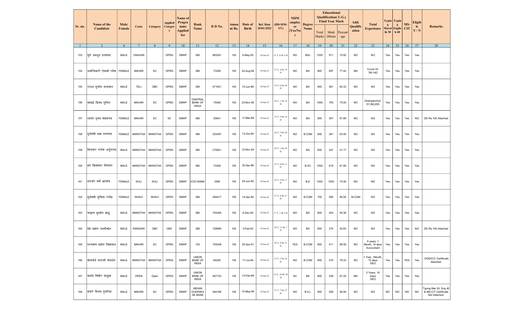|         | Name of the                      | Male/         |                 |                | Applied             | Name of<br>Progra     | <b>Bank</b>                                       |         | Amou   | Date of      | <b>Ref. Date</b>  | $(DD-MM-$               | <b>NHM</b><br>employ | <b>Degree</b> |                | <b>Educational</b><br>Qualification(U.G.)<br><b>Final Year Mark</b> |                | Add.              | <b>Total</b>                               |           | Typin   Typin  <br>$\mathbf{g}$ | MS-        | <b>Eligib</b> |                                                                |
|---------|----------------------------------|---------------|-----------------|----------------|---------------------|-----------------------|---------------------------------------------------|---------|--------|--------------|-------------------|-------------------------|----------------------|---------------|----------------|---------------------------------------------------------------------|----------------|-------------------|--------------------------------------------|-----------|---------------------------------|------------|---------------|----------------------------------------------------------------|
| Sr. no. | Candidate                        | Female        | Caste           | Category       | <b>Categor</b><br>y | mme<br>Applied<br>for | Name                                              | D D No. | nt Rs. | <b>Birth</b> | 10/01/2022        | YY)                     | ee<br>(Yes/No        | Name          | Total<br>Marks | Mark<br>Obtain                                                      | Percent<br>age | Qualific<br>ation | <b>Experience</b>                          | g         | Marat Englis<br>hi 30   h 40    | <b>CIT</b> | le<br>Y/N     | <b>Remarks</b>                                                 |
|         | 2                                | 6             | $7\phantom{.0}$ | 8              | -9                  | 10                    | 11                                                | 12      | 13     | 14           | 15                | 16                      | 17                   | 18            | 19             | 20                                                                  | 21             | 22                | 23                                         | 24        | 25                              | 26         | 27            | 28                                                             |
| 153     | घूगे अवधूत दत्तात्रय             | MALE          | VANJARI         |                | OPEN                | <b>DMHP</b>           | SBI                                               | 983291  | 150    | 6-May-00     | $10$ -Jan-22      | 21 Y, 8 M, 4 D          | <b>NO</b>            | BSc           | 1200           | 911                                                                 | 75.92          | <b>NO</b>         | <b>NO</b>                                  | Yes       | Yes                             | Yes        | Yes           |                                                                |
| 154     | धर्माधिकारी ऐश्वर्या रमेश FEMALE |               | <b>MAHAR</b>    | SC             | OPEN                | <b>DMHP</b>           | SBI                                               | 73289   | 150    | 22-Aug-94    | $10$ -Jan-22      | 27 Y, 4 M, 19<br>D      | <b>NO</b>            | BA            | 900            | 697                                                                 | 77.44          | MA                | Covid-19,<br>7M,14D                        | Yes       | Yes                             | Yes        | Yes           |                                                                |
| 155     | राऊत सुजीत सत्यपाल               | MALE          | TELI            | OBC            | OPEN                | <b>DMHP</b>           | SBI                                               | 671641  | 150    | 15-Jun-86    | 10-Jan-22         | 35 Y, 6 M, 26<br>D      | <b>NO</b>            | BA            | 900            | 561                                                                 | 62.33          | <b>NO</b>         | <b>NO</b>                                  | Yes       | Yes                             | Yes        | Yes           |                                                                |
| 156     | कांबळे प्रितम सुनिल              | MALE          | <b>MAHAR</b>    | SC             | <b>OPEN</b>         | <b>DMHP</b>           | CENTRAL<br><b>BANK OF</b><br><b>INDIA</b>         | 15046   | 150    | 23-Nov-95    | 10-Jan-22         | 26 Y, 1 M, 18<br>D      | <b>NO</b>            | BA            | 1000           | 755                                                                 | 75.50          | <b>NO</b>         | Grampanchyt-<br>5Y,5M,25D                  | Yes       | Yes                             | Yes        | Yes           |                                                                |
| 157     | लांडगे पुनम केशवराव              | <b>FEMALE</b> | <b>MAHAR</b>    | SC             | SC                  | <b>DMHP</b>           | SBI                                               | 20941   | 100    | 17-Mar-88    | $10$ -Jan-22 $\,$ | 33 Y, 9 M, 24<br>$\,$ D | <b>NO</b>            | BA            | 900            | 557                                                                 | 61.89          | <b>NO</b>         | <b>NO</b>                                  | Yes       | Yes                             | Yes        | <b>NO</b>     | DD Rs.100 Attached                                             |
| 158     | सूर्यवंशी प्रज्ञा दत्तात्रय      | FEMALE        | <b>MARATHA</b>  | MARATHA        | OPEN                | <b>DMHP</b>           | SBI                                               | 323497  | 150    | 13-Oct-95    | $10$ -Jan-22      | 26 Y, 2 M, 28<br>$\,$ D | <b>NO</b>            | <b>B.COM</b>  | 600            | 381                                                                 | 63.50          | <b>NO</b>         | <b>NO</b>                                  | Yes       | Yes                             | Yes        | Yes           |                                                                |
| 159     | बिरादार राजेश अर्जुनराव          | MALE          | <b>MARATHA</b>  | <b>MARATHA</b> | OPEN                | <b>DMHP</b>           | SBI                                               | 270641  | 150    | 12-Nov-93    | $10$ -Jan-22      | 28 Y, 1 M, 29<br>D      | <b>NO</b>            | BA            | 600            | 247                                                                 | 41.17          | <b>NO</b>         | <b>NO</b>                                  | Yes       | Yes                             | Yes        | Yes           |                                                                |
| 160     | ढगे शिवशंकर दिगांबर              | MALE          | <b>MARATHA</b>  | <b>MARATHA</b> | OPEN                | <b>DMHP</b>           | SBI                                               | 73309   | 150    | 30-Apr-98    | $10$ -Jan-22      | 23 Y, 8 M, 11<br>D      | <b>NO</b>            | B.SC          | 1000           | 619                                                                 | 61.90          | <b>NO</b>         | <b>NO</b>                                  | Yes       | Yes                             | Yes        | Yes           |                                                                |
| 161     | नाटकरे वर्षा ज्ञानदेव            | <b>FEMALE</b> | KOLI            | KOLI           | OPEN                | <b>DMHP</b>           | <b>ICICI BANK</b>                                 | 1699    | 150    | 24-Jun-92    | $10$ -Jan-22      | 29 Y, 6 M, 17<br>D      | <b>NO</b>            | B.E           | 1500           | 1050                                                                | 70.00          | <b>NO</b>         | <b>NO</b>                                  | Yes       | Yes                             | Yes        | Yes           |                                                                |
| 162     | सुर्यवंशी सुचिता राजेंद्र        | <b>FEMALE</b> | <b>NHAVI</b>    | <b>NHAVI</b>   | <b>OPEN</b>         | <b>DMHP</b>           | SBI                                               | 206417  | 150    | 14-Apr-94    | 10-Jan-22         | 27 Y, 8 M, 27<br>D      | <b>NO</b>            | <b>B.COM</b>  | 700            | 595                                                                 | 85.00          | M.COM             | <b>NO</b>                                  | Yes       | Yes                             | Yes        | Yes           |                                                                |
| 163     | चव्हाण सुदर्शन बाळू              | MALE          | <b>MARATHA</b>  | MARATHA        | OPEN                | <b>DMHP</b>           | SBI                                               | 754365  | 150    | 6-Dec-94     | $10$ -Jan-22      | 27 Y, 1 M, 4 D          | <b>NO</b>            | BA            | 800            | 403                                                                 | 50.38          | <b>NO</b>         | <b>NO</b>                                  | Yes       | Yes                             | Yes        | Yes           |                                                                |
| 164     | बिद्रे प्रशांत लक्ष्मीकांत       | MALE          | <b>RANGARI</b>  | OBC            | OBC                 | <b>DMHP</b>           | SBI                                               | 728890  | 100    | 3-Feb-93     | 10-Jan-22         | 28 Y, 11 M, 7<br>D      | <b>NO</b>            | BA            | 600            | 275                                                                 | 45.83          | <b>NO</b>         | <b>NO</b>                                  | Yes       | Yes                             | Yes        | <b>NO</b>     | DD Rs.100 Attached                                             |
| 165     | परतवाघ प्रशांत विश्वनाथ          | MALE          | MAHAR           | SC             | <b>OPEN</b>         | <b>DMHP</b>           | 150                                               | 754348  | 150    | 20-Apr-91    | $10$ -Jan-22      | 30 Y, 8 M, 21<br>D      | <b>YES</b>           | <b>B.COM</b>  | 600            | 411                                                                 | 68.50          | <b>NO</b>         | 6 years, 1<br>Month, 18 days<br>Accountant | Yes       | Yes                             | Yes        | Yes           |                                                                |
| 166     | कोनतोडे पाराजी गोवर्धन           | MALE          | MARATHA         | <b>MARATHA</b> | <b>OPEN</b>         | <b>DMHP</b>           | <b>UNION</b><br><b>BANK OF</b><br><b>INDIA</b>    | 84208   | 150    | 17-Jul-94    | $10$ -Jan-22      | 27 Y, 5 M, 24<br>D      | <b>NO</b>            | <b>B.COM</b>  | 600            | 470                                                                 | 78.33          | <b>NO</b>         | 1 Year, 1Month<br>15 days<br>DEO           | Yes       | Yes                             | YES        | Yes           | DOEACC Certificate<br>Attached.                                |
| 167     | काकडे किशोर वाळूबा               | MALE          | OPEN            | Open           | OPEN                | <b>DMHP</b>           | <b>UNION</b><br><b>BANK OF</b><br>INDIA           | 857153  | 150    | 13-Feb-89    | 10-Jan-22         | 32 Y, 10 M, 28<br>D     | No                   | BA            | 800            | 538                                                                 | 67.25          | MA                | 5 Years, 16<br>Days<br>DEO                 | Yes       | Yes                             | Yes        | Yes           |                                                                |
| 168     | बंगारे विजय पुंडलिक              | MALE          | MAHAR           | SC             | <b>OPEN</b>         | <b>DMHP</b>           | <b>INDIAN</b><br><b>OVERSEA</b><br><b>SE BANK</b> | 944166  | 150    | 14-May-90    | $10$ -Jan-22      | 31 Y, 7 M, 27<br>$\,$ D | <b>NO</b>            | B.S.L         | 900            | 509                                                                 | 56.56          | <b>NO</b>         | <b>NO</b>                                  | <b>NO</b> | <b>NO</b>                       | <b>NO</b>  | <b>NO</b>     | Typing Mar 30, Eng 40<br>& MS-CIT Certificate<br>Not Attached. |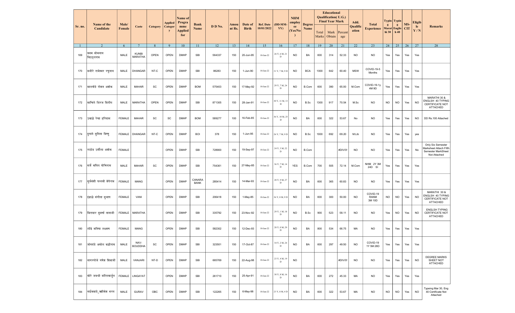|         | Name of the                      | Male/         |                                |          | Applied      | Name of<br>Progra            | <b>Bank</b>    |         | Amou   | Date of      | <b>Ref. Date</b> | $(DD-MM-$                | <b>NHM</b><br>employ | <b>Degree</b> |                | <b>Educational</b><br>Qualification(U.G.)<br><b>Final Year Mark</b> |                | Add.              | <b>Total</b>               | g         | Typin   Typin  <br>g         | MS-        | <b>Eligib</b> |                                                                                   |
|---------|----------------------------------|---------------|--------------------------------|----------|--------------|------------------------------|----------------|---------|--------|--------------|------------------|--------------------------|----------------------|---------------|----------------|---------------------------------------------------------------------|----------------|-------------------|----------------------------|-----------|------------------------------|------------|---------------|-----------------------------------------------------------------------------------|
| Sr. no. | Candidate                        | Female        | Caste                          | Category | Categor<br>y | mme<br><b>Applied</b><br>for | Name           | D D No. | nt Rs. | <b>Birth</b> | 10/01/2022       | YY)                      | ee<br>(Yes/No        | Name          | Total<br>Marks | Mark<br>Obtain                                                      | Percent<br>age | Qualific<br>ation | <b>Experience</b>          |           | Marat Englis<br>hi 30   h 40 | <b>CIT</b> | le<br>Y/N     | <b>Remarks</b>                                                                    |
|         | 2                                | 6             | $7\phantom{.0}$                | 8        | 9            | 10                           | 11             | 12      | 13     | 14           | 15               | 16                       | 17                   | 18            | 19             | 20                                                                  | 21             | 22                | 23                         | 24        | 25                           | 26         | 27            | 28                                                                                |
| 169     | कदम सोमनाथ<br> विठठ्लराव         | MALE          | <b>KUNBI</b><br><b>MARATHA</b> | OPEN     | OPEN         | <b>DMHP</b>                  | SBI            | 564337  | 150    | 20-Jun-95    | $10$ -Jan-22     | 26 Y, 6 M, 21<br>D       | <b>NO</b>            | BA            | 600            | 314                                                                 | 52.33          | <b>NO</b>         | <b>NO</b>                  | Yes       | Yes                          | Yes        | Yes           |                                                                                   |
| 170     | वजीरे रामेश्वर रघुनाथ            | MALE          | <b>DHANGAR</b>                 | NT-C     | OPEN         | <b>DMHP</b>                  | <b>SBI</b>     | 86283   | 150    | 1-Jun-90     | $10$ -Jan-22     | 31 Y, 7 M, 9 D           | <b>NO</b>            | <b>BCA</b>    | 1000           | 642                                                                 | 60.40          | <b>MSW</b>        | COVID-19-5<br>Months       | Yes       | Yes                          | Yes        | Yes           |                                                                                   |
| 171     | मालखेडे रोशन अशोक                | MALE          | <b>MAHAR</b>                   | SC       | <b>OPEN</b>  | <b>DMHP</b>                  | <b>BOM</b>     | 575403  | 150    | 17-May-92    | $10$ -Jan-22     | 29 Y, 7 M, 24<br>D       | <b>NO</b>            | B.Com         | 600            | 390                                                                 | 65.00          | M.Com             | COVID-19-1y<br>4M 9D       | Yes       | Yes                          | Yes        | Yes           |                                                                                   |
| 172     | माचिले धिरज दिलीप                | MALE          | <b>MARATHA</b>                 | OPEN     | <b>OPEN</b>  | <b>DMHP</b>                  | SBI            | 871305  | 150    | 28-Jan-91    | $10$ -Jan-22     | 30 Y, 11 M, 13<br>D      | <b>NO</b>            | B.Sc          | 1300           | 917                                                                 | 70.54          | M.Sc              | <b>NO</b>                  | <b>NO</b> | <b>NO</b>                    | Yes        | <b>NO</b>     | MARATHI 30 &<br>ENGLSH 40 TYPING<br>CERTIFICATE NOT<br><b>ATTACHED</b>            |
| 173     | उबाळे रेखा हरिदास                | <b>FEMALE</b> | <b>MAHAR</b>                   | SC       | SC           | <b>DMHP</b>                  | <b>BOM</b>     | 589277  | 100    | 16-Feb-85    | $10$ -Jan-22     | 36 Y, 10 M, 25<br>$\,$ D | <b>NO</b>            | BA            | 600            | 322                                                                 | 53.67          | No                | <b>NO</b>                  | Yes       | Yes                          | Yes        | <b>NO</b>     | DD Rs.100 Attached                                                                |
| 174     | दुगाने सुनिता विष्णू             | <b>FEMALE</b> | <b>DHANGAR</b>                 | NT-C     | OPEN         | <b>DMHP</b>                  | <b>BOI</b>     | 378     | 150    | 1-Jun-95     | $10$ -Jan-22     | 26 Y, 7 M, 9 D           | <b>NO</b>            | B.Sc          | 1000           | 692                                                                 | 69.20          | M.Lib             | <b>NO</b>                  | Yes       | Yes                          | Yes        | yes           |                                                                                   |
| 175     | राठोड उर्मीला अशोक               | <b>FEMALE</b> |                                |          | OPEN         | <b>DMHP</b>                  | SBI            | 728900  | 150    | 19-Sep-97    | $10$ -Jan-22     | 24 Y, 3 M, 22<br>D       | <b>NO</b>            | B.Com         |                |                                                                     | #DIV/0!        | <b>NO</b>         | <b>NO</b>                  | Yes       | Yes                          | Yes        | No            | Only Six Semester<br>Marksheet Attach Fifth<br>Semester MarkSheet<br>Not Attached |
| 176     | सर्जे कपिल पोचिराम               | MALE          | <b>MAHAR</b>                   | SC       | <b>OPEN</b>  | <b>DMHP</b>                  | SBI            | 754361  | 150    | 27-May-85    | $10$ -Jan-22     | 36 Y, 7 M, 14<br>D       | <b>YES</b>           | B.Com         | 700            | 505                                                                 | 72.14          | M.Com             | NHM 2Y 3M<br>24D SI        | Yes       | Yes                          | Yes        | Yes           |                                                                                   |
| 177     | सूर्यवंशी पल्लवी शेषेराव         | <b>FEMALE</b> | <b>MANG</b>                    |          | OPEN         | <b>DMHP</b>                  | CANARA<br>BANK | 285414  | 150    | 14-Mar-93    | $10$ -Jan-22     | 28 Y, 9 M, 27<br>D       | <b>NO</b>            | BA            | 600            | 365                                                                 | 60.83          | <b>NO</b>         | <b>NO</b>                  | Yes       | Yes                          | Yes        | Yes           |                                                                                   |
| 178     | इंद्राळे संगीता सुभाष            | <b>FEMALE</b> | VANI                           |          | OPEN         | <b>DMHP</b>                  | SBI            | 206418  | 150    | 1-May-85     | $10$ -Jan-22     | 36 Y, 8 M, 9 D           | <b>NO</b>            | BA            | 600            | 300                                                                 | 50.00          | <b>NO</b>         | COVID-19<br>RANM<br>3M 10D | <b>NO</b> | <b>NO</b>                    | Yes        | <b>NO</b>     | MARATHI 30 &<br>ENGLSH 40 TYPING<br>CERTIFICATE NOT<br><b>ATTACHED</b>            |
| 179     | बिरादार सूवर्णा तानाजी           | FEMALE        | <b>MARATHA</b>                 |          | <b>OPEN</b>  | <b>DMHP</b>                  | SBI            | 335792  | 150    | 23-Nov-92    | $10$ -Jan-22     | 29 Y, 1 M, 18<br>D       | <b>NO</b>            | B.Sc          | 900            | 523                                                                 | 58.11          | <b>NO</b>         | <b>NO</b>                  | Yes       | <b>NO</b>                    | Yes        | <b>NO</b>     | <b>ENGLSH TYPING</b><br>CERTIFICATE NOT<br><b>ATTACHED</b>                        |
| 180     | लोंढे मनिषा लक्ष्मण              | <b>FEMALE</b> | <b>MANG</b>                    |          | OPEN         | <b>DMHP</b>                  | SBI            | 582302  | 150    | 12-Dec-93    | $10$ -Jan-22     | 28 Y, 0 M, 29<br>D       | <b>NO</b>            | BA            | 800            | 534                                                                 | 66.75          | MA                | <b>NO</b>                  | Yes       | Yes                          | Yes        | Yes           |                                                                                   |
| 181     | जोगदंडे अमोल बळीराम              | MALE          | NAV-<br><b>BOUDDHA</b>         | SC       | <b>OPEN</b>  | <b>DMHP</b>                  | SBI            | 323501  | 150    | 17-Oct-87    | $10$ -Jan-22     | 34 Y, 2 M, 24<br>D       | <b>NO</b>            | BA            | 600            | 297                                                                 | 49.50          | <b>NO</b>         | COVID-19<br>1Y 5M 28D      | Yes       | Yes                          | Yes        | Yes           |                                                                                   |
| 182     | नागरगोजे गणेश शिवाजी             | MALE          | VANJARI                        | NT-D     | <b>OPEN</b>  | <b>DMHP</b>                  | SBI            | 665769  | 150    | 22-Aug-98    | $10$ -Jan-22     | 23 Y, 4 M, 19<br>D       | <b>NO</b>            |               |                |                                                                     | #DIV/0!        | NO.               | <b>NO</b>                  | Yes       | Yes                          | Yes        | <b>NO</b>     | <b>DEGREE MARKS</b><br>SHEET NOT<br><b>ATTACHED</b>                               |
| 183     | कोरे जयश्री मल्लिकार्जुन         | FEMALE        | LINGAYAT                       |          | OPEN         | <b>DMHP</b>                  | SBI            | 261710  | 150    | 25-Apr-91    | 10-Jan-22        | 30 Y, 8 M, 16<br>$\,$ D  | <b>NO</b>            | BA            | 600            | 272                                                                 | 45.33          | MA                | <b>NO</b>                  | Yes       | Yes                          | Yes        | Yes           |                                                                                   |
| 184     | नाईकवाडे <sub>ट</sub> ऋगिकेश भरत | MALE          | GURAV                          | OBC      | OPEN         | <b>DMHP</b>                  | SBI            | 122265  | 150    | 6-May-98     | $10$ -Jan-22     | 23 Y, 8 M, 4 D           | <b>NO</b>            | BA            | 600            | 322                                                                 | 53.67          | МA                | NO                         | <b>NO</b> | <b>NO</b>                    | Yes        | <b>NO</b>     | Typeing Mar 30, Eng<br>40 Certificate Not<br>Attached                             |